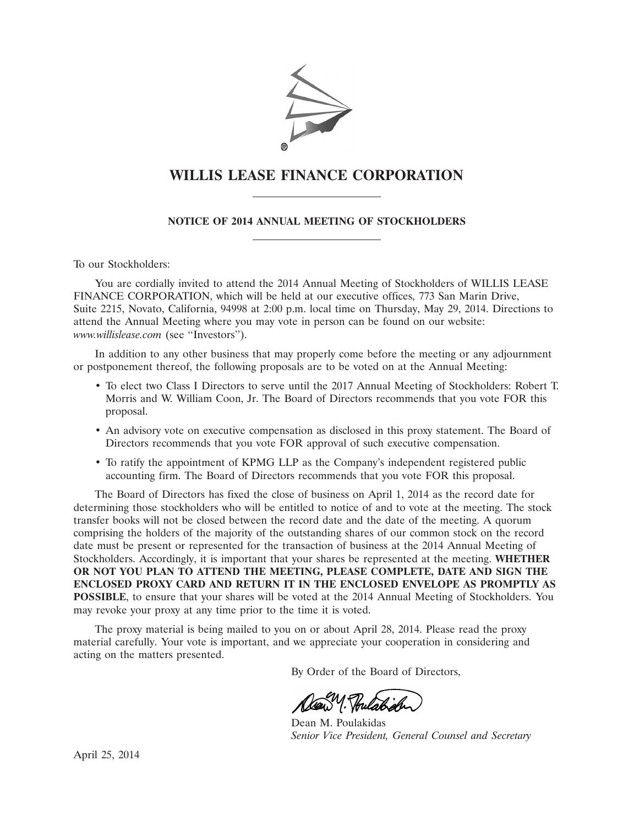

# **WILLIS LEASE FINANCE CORPORATION**

**NOTICE OF 2014 ANNUAL MEETING OF STOCKHOLDERS**

To our Stockholders:

You are cordially invited to attend the 2014 Annual Meeting of Stockholders of WILLIS LEASE FINANCE CORPORATION, which will be held at our executive offices, 773 San Marin Drive, Suite 2215, Novato, California, 94998 at 2:00 p.m. local time on Thursday, May 29, 2014. Directions to attend the Annual Meeting where you may vote in person can be found on our website: *www.willislease.com* (see ''Investors'').

In addition to any other business that may properly come before the meeting or any adjournment or postponement thereof, the following proposals are to be voted on at the Annual Meeting:

- To elect two Class I Directors to serve until the 2017 Annual Meeting of Stockholders: Robert T. Morris and W. William Coon, Jr. The Board of Directors recommends that you vote FOR this proposal.
- An advisory vote on executive compensation as disclosed in this proxy statement. The Board of Directors recommends that you vote FOR approval of such executive compensation.
- To ratify the appointment of KPMG LLP as the Company's independent registered public accounting firm. The Board of Directors recommends that you vote FOR this proposal.

The Board of Directors has fixed the close of business on April 1, 2014 as the record date for determining those stockholders who will be entitled to notice of and to vote at the meeting. The stock transfer books will not be closed between the record date and the date of the meeting. A quorum comprising the holders of the majority of the outstanding shares of our common stock on the record date must be present or represented for the transaction of business at the 2014 Annual Meeting of Stockholders. Accordingly, it is important that your shares be represented at the meeting. **WHETHER OR NOT YOU PLAN TO ATTEND THE MEETING, PLEASE COMPLETE, DATE AND SIGN THE ENCLOSED PROXY CARD AND RETURN IT IN THE ENCLOSED ENVELOPE AS PROMPTLY AS POSSIBLE**, to ensure that your shares will be voted at the 2014 Annual Meeting of Stockholders. You may revoke your proxy at any time prior to the time it is voted.

The proxy material is being mailed to you on or about April 28, 2014. Please read the proxy material carefully. Your vote is important, and we appreciate your cooperation in considering and acting on the matters presented.

By Order of the Board of Directors,

 $20 - 20$ 

Dean M. Poulakidas *Senior Vice President, General Counsel and Secretary*

April 25, 2014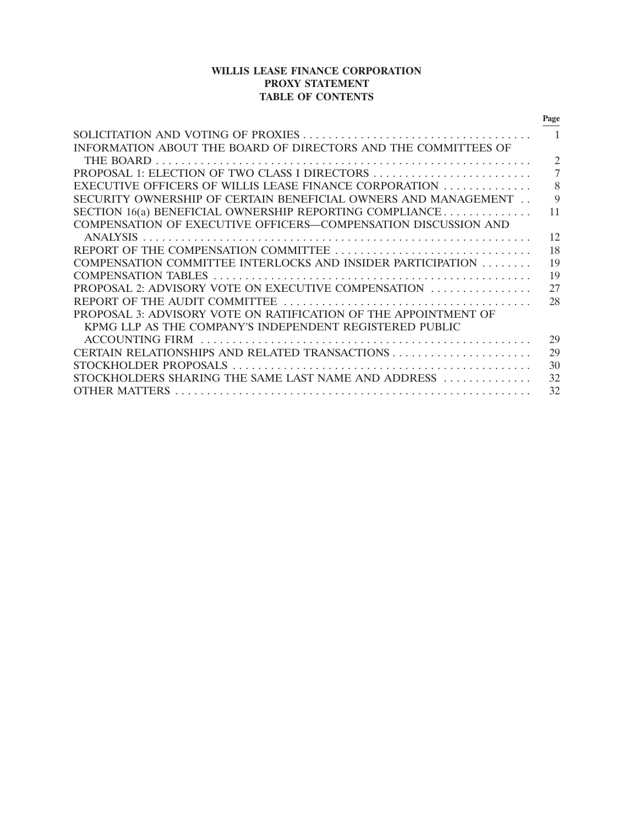## **WILLIS LEASE FINANCE CORPORATION PROXY STATEMENT TABLE OF CONTENTS**

|                                                                 | Page           |
|-----------------------------------------------------------------|----------------|
|                                                                 | $\overline{1}$ |
| INFORMATION ABOUT THE BOARD OF DIRECTORS AND THE COMMITTEES OF  |                |
|                                                                 | $\overline{2}$ |
|                                                                 | 7              |
| EXECUTIVE OFFICERS OF WILLIS LEASE FINANCE CORPORATION          | 8              |
| SECURITY OWNERSHIP OF CERTAIN BENEFICIAL OWNERS AND MANAGEMENT  | $\mathbf Q$    |
| SECTION 16(a) BENEFICIAL OWNERSHIP REPORTING COMPLIANCE         | 11             |
| COMPENSATION OF EXECUTIVE OFFICERS-COMPENSATION DISCUSSION AND  |                |
|                                                                 | 12             |
|                                                                 | 18             |
| COMPENSATION COMMITTEE INTERLOCKS AND INSIDER PARTICIPATION     | 19             |
|                                                                 | 19             |
| PROPOSAL 2: ADVISORY VOTE ON EXECUTIVE COMPENSATION             | 27             |
|                                                                 | 28             |
| PROPOSAL 3: ADVISORY VOTE ON RATIFICATION OF THE APPOINTMENT OF |                |
| KPMG LLP AS THE COMPANY'S INDEPENDENT REGISTERED PUBLIC         |                |
|                                                                 | 29             |
|                                                                 | 29             |
|                                                                 | 30             |
| STOCKHOLDERS SHARING THE SAME LAST NAME AND ADDRESS             | 32             |
|                                                                 | 32             |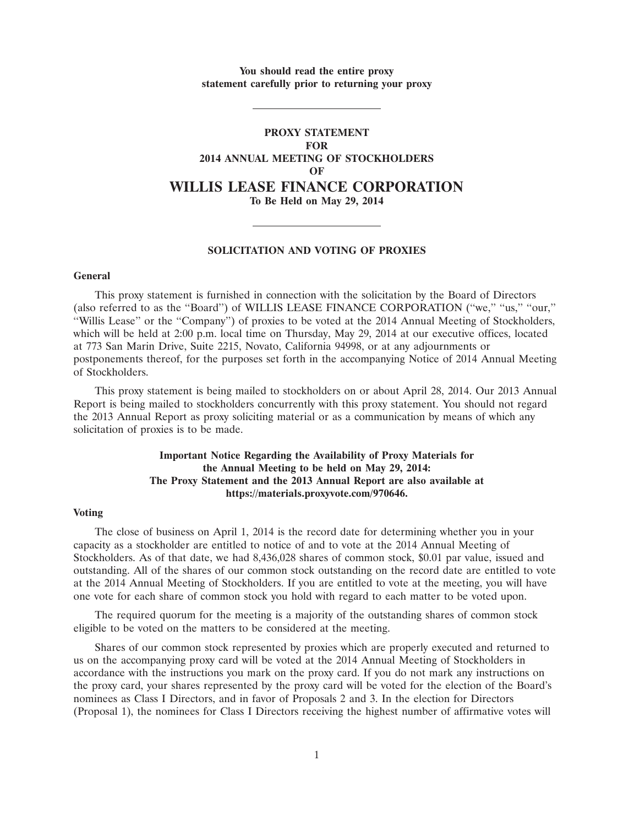**You should read the entire proxy statement carefully prior to returning your proxy**

## **PROXY STATEMENT FOR 2014 ANNUAL MEETING OF STOCKHOLDERS OF WILLIS LEASE FINANCE CORPORATION To Be Held on May 29, 2014**

#### **SOLICITATION AND VOTING OF PROXIES**

## **General**

This proxy statement is furnished in connection with the solicitation by the Board of Directors (also referred to as the ''Board'') of WILLIS LEASE FINANCE CORPORATION (''we,'' ''us,'' ''our,'' ''Willis Lease'' or the ''Company'') of proxies to be voted at the 2014 Annual Meeting of Stockholders, which will be held at 2:00 p.m. local time on Thursday, May 29, 2014 at our executive offices, located at 773 San Marin Drive, Suite 2215, Novato, California 94998, or at any adjournments or postponements thereof, for the purposes set forth in the accompanying Notice of 2014 Annual Meeting of Stockholders.

This proxy statement is being mailed to stockholders on or about April 28, 2014. Our 2013 Annual Report is being mailed to stockholders concurrently with this proxy statement. You should not regard the 2013 Annual Report as proxy soliciting material or as a communication by means of which any solicitation of proxies is to be made.

## **Important Notice Regarding the Availability of Proxy Materials for the Annual Meeting to be held on May 29, 2014: The Proxy Statement and the 2013 Annual Report are also available at https://materials.proxyvote.com/970646.**

### **Voting**

The close of business on April 1, 2014 is the record date for determining whether you in your capacity as a stockholder are entitled to notice of and to vote at the 2014 Annual Meeting of Stockholders. As of that date, we had 8,436,028 shares of common stock, \$0.01 par value, issued and outstanding. All of the shares of our common stock outstanding on the record date are entitled to vote at the 2014 Annual Meeting of Stockholders. If you are entitled to vote at the meeting, you will have one vote for each share of common stock you hold with regard to each matter to be voted upon.

The required quorum for the meeting is a majority of the outstanding shares of common stock eligible to be voted on the matters to be considered at the meeting.

Shares of our common stock represented by proxies which are properly executed and returned to us on the accompanying proxy card will be voted at the 2014 Annual Meeting of Stockholders in accordance with the instructions you mark on the proxy card. If you do not mark any instructions on the proxy card, your shares represented by the proxy card will be voted for the election of the Board's nominees as Class I Directors, and in favor of Proposals 2 and 3. In the election for Directors (Proposal 1), the nominees for Class I Directors receiving the highest number of affirmative votes will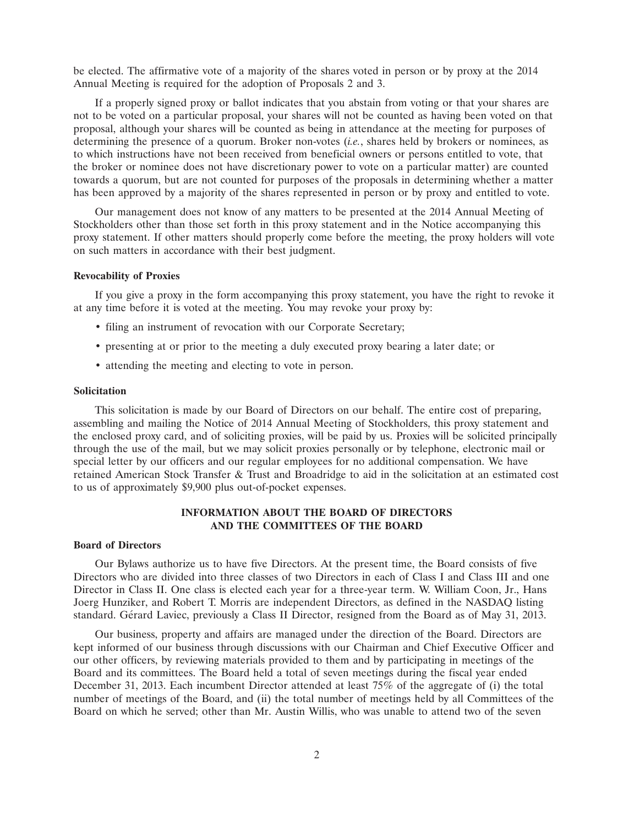be elected. The affirmative vote of a majority of the shares voted in person or by proxy at the 2014 Annual Meeting is required for the adoption of Proposals 2 and 3.

If a properly signed proxy or ballot indicates that you abstain from voting or that your shares are not to be voted on a particular proposal, your shares will not be counted as having been voted on that proposal, although your shares will be counted as being in attendance at the meeting for purposes of determining the presence of a quorum. Broker non-votes (*i.e.*, shares held by brokers or nominees, as to which instructions have not been received from beneficial owners or persons entitled to vote, that the broker or nominee does not have discretionary power to vote on a particular matter) are counted towards a quorum, but are not counted for purposes of the proposals in determining whether a matter has been approved by a majority of the shares represented in person or by proxy and entitled to vote.

Our management does not know of any matters to be presented at the 2014 Annual Meeting of Stockholders other than those set forth in this proxy statement and in the Notice accompanying this proxy statement. If other matters should properly come before the meeting, the proxy holders will vote on such matters in accordance with their best judgment.

## **Revocability of Proxies**

If you give a proxy in the form accompanying this proxy statement, you have the right to revoke it at any time before it is voted at the meeting. You may revoke your proxy by:

- filing an instrument of revocation with our Corporate Secretary;
- presenting at or prior to the meeting a duly executed proxy bearing a later date; or
- attending the meeting and electing to vote in person.

#### **Solicitation**

This solicitation is made by our Board of Directors on our behalf. The entire cost of preparing, assembling and mailing the Notice of 2014 Annual Meeting of Stockholders, this proxy statement and the enclosed proxy card, and of soliciting proxies, will be paid by us. Proxies will be solicited principally through the use of the mail, but we may solicit proxies personally or by telephone, electronic mail or special letter by our officers and our regular employees for no additional compensation. We have retained American Stock Transfer & Trust and Broadridge to aid in the solicitation at an estimated cost to us of approximately \$9,900 plus out-of-pocket expenses.

## **INFORMATION ABOUT THE BOARD OF DIRECTORS AND THE COMMITTEES OF THE BOARD**

#### **Board of Directors**

Our Bylaws authorize us to have five Directors. At the present time, the Board consists of five Directors who are divided into three classes of two Directors in each of Class I and Class III and one Director in Class II. One class is elected each year for a three-year term. W. William Coon, Jr., Hans Joerg Hunziker, and Robert T. Morris are independent Directors, as defined in the NASDAQ listing standard. Gérard Laviec, previously a Class II Director, resigned from the Board as of May 31, 2013.

Our business, property and affairs are managed under the direction of the Board. Directors are kept informed of our business through discussions with our Chairman and Chief Executive Officer and our other officers, by reviewing materials provided to them and by participating in meetings of the Board and its committees. The Board held a total of seven meetings during the fiscal year ended December 31, 2013. Each incumbent Director attended at least 75% of the aggregate of (i) the total number of meetings of the Board, and (ii) the total number of meetings held by all Committees of the Board on which he served; other than Mr. Austin Willis, who was unable to attend two of the seven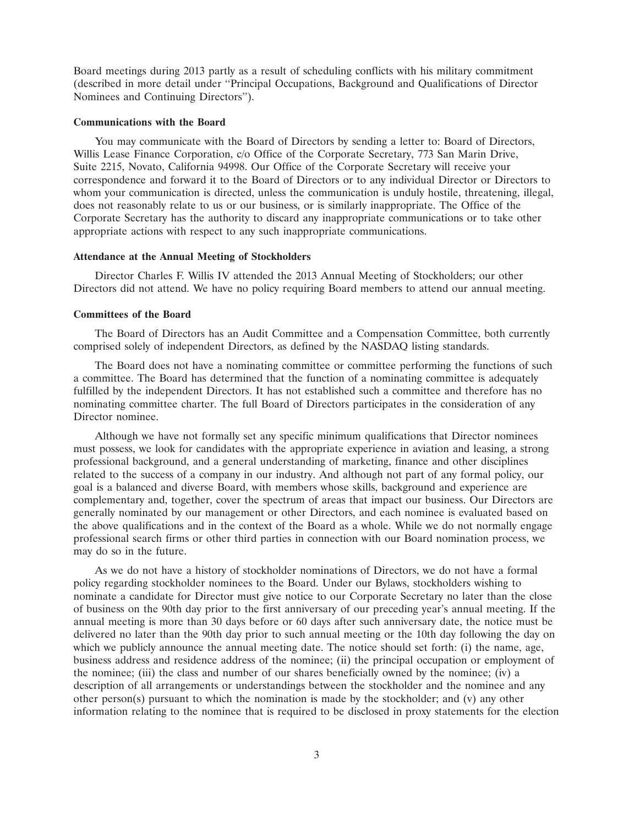Board meetings during 2013 partly as a result of scheduling conflicts with his military commitment (described in more detail under ''Principal Occupations, Background and Qualifications of Director Nominees and Continuing Directors'').

#### **Communications with the Board**

You may communicate with the Board of Directors by sending a letter to: Board of Directors, Willis Lease Finance Corporation, c/o Office of the Corporate Secretary, 773 San Marin Drive, Suite 2215, Novato, California 94998. Our Office of the Corporate Secretary will receive your correspondence and forward it to the Board of Directors or to any individual Director or Directors to whom your communication is directed, unless the communication is unduly hostile, threatening, illegal, does not reasonably relate to us or our business, or is similarly inappropriate. The Office of the Corporate Secretary has the authority to discard any inappropriate communications or to take other appropriate actions with respect to any such inappropriate communications.

## **Attendance at the Annual Meeting of Stockholders**

Director Charles F. Willis IV attended the 2013 Annual Meeting of Stockholders; our other Directors did not attend. We have no policy requiring Board members to attend our annual meeting.

#### **Committees of the Board**

The Board of Directors has an Audit Committee and a Compensation Committee, both currently comprised solely of independent Directors, as defined by the NASDAQ listing standards.

The Board does not have a nominating committee or committee performing the functions of such a committee. The Board has determined that the function of a nominating committee is adequately fulfilled by the independent Directors. It has not established such a committee and therefore has no nominating committee charter. The full Board of Directors participates in the consideration of any Director nominee.

Although we have not formally set any specific minimum qualifications that Director nominees must possess, we look for candidates with the appropriate experience in aviation and leasing, a strong professional background, and a general understanding of marketing, finance and other disciplines related to the success of a company in our industry. And although not part of any formal policy, our goal is a balanced and diverse Board, with members whose skills, background and experience are complementary and, together, cover the spectrum of areas that impact our business. Our Directors are generally nominated by our management or other Directors, and each nominee is evaluated based on the above qualifications and in the context of the Board as a whole. While we do not normally engage professional search firms or other third parties in connection with our Board nomination process, we may do so in the future.

As we do not have a history of stockholder nominations of Directors, we do not have a formal policy regarding stockholder nominees to the Board. Under our Bylaws, stockholders wishing to nominate a candidate for Director must give notice to our Corporate Secretary no later than the close of business on the 90th day prior to the first anniversary of our preceding year's annual meeting. If the annual meeting is more than 30 days before or 60 days after such anniversary date, the notice must be delivered no later than the 90th day prior to such annual meeting or the 10th day following the day on which we publicly announce the annual meeting date. The notice should set forth: (i) the name, age, business address and residence address of the nominee; (ii) the principal occupation or employment of the nominee; (iii) the class and number of our shares beneficially owned by the nominee; (iv) a description of all arrangements or understandings between the stockholder and the nominee and any other person(s) pursuant to which the nomination is made by the stockholder; and (v) any other information relating to the nominee that is required to be disclosed in proxy statements for the election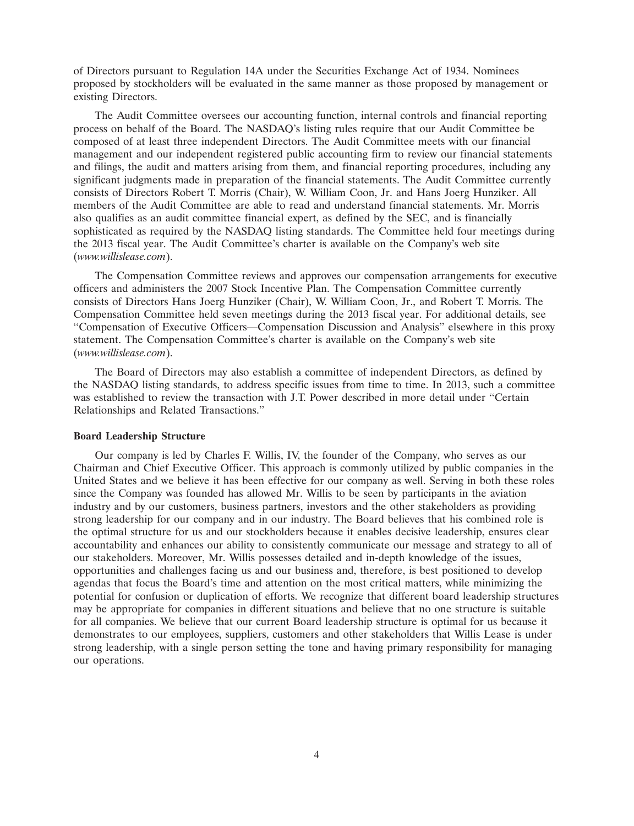of Directors pursuant to Regulation 14A under the Securities Exchange Act of 1934. Nominees proposed by stockholders will be evaluated in the same manner as those proposed by management or existing Directors.

The Audit Committee oversees our accounting function, internal controls and financial reporting process on behalf of the Board. The NASDAQ's listing rules require that our Audit Committee be composed of at least three independent Directors. The Audit Committee meets with our financial management and our independent registered public accounting firm to review our financial statements and filings, the audit and matters arising from them, and financial reporting procedures, including any significant judgments made in preparation of the financial statements. The Audit Committee currently consists of Directors Robert T. Morris (Chair), W. William Coon, Jr. and Hans Joerg Hunziker. All members of the Audit Committee are able to read and understand financial statements. Mr. Morris also qualifies as an audit committee financial expert, as defined by the SEC, and is financially sophisticated as required by the NASDAQ listing standards. The Committee held four meetings during the 2013 fiscal year. The Audit Committee's charter is available on the Company's web site (*www.willislease.com*).

The Compensation Committee reviews and approves our compensation arrangements for executive officers and administers the 2007 Stock Incentive Plan. The Compensation Committee currently consists of Directors Hans Joerg Hunziker (Chair), W. William Coon, Jr., and Robert T. Morris. The Compensation Committee held seven meetings during the 2013 fiscal year. For additional details, see ''Compensation of Executive Officers—Compensation Discussion and Analysis'' elsewhere in this proxy statement. The Compensation Committee's charter is available on the Company's web site (*www.willislease.com*).

The Board of Directors may also establish a committee of independent Directors, as defined by the NASDAQ listing standards, to address specific issues from time to time. In 2013, such a committee was established to review the transaction with J.T. Power described in more detail under ''Certain Relationships and Related Transactions.''

## **Board Leadership Structure**

Our company is led by Charles F. Willis, IV, the founder of the Company, who serves as our Chairman and Chief Executive Officer. This approach is commonly utilized by public companies in the United States and we believe it has been effective for our company as well. Serving in both these roles since the Company was founded has allowed Mr. Willis to be seen by participants in the aviation industry and by our customers, business partners, investors and the other stakeholders as providing strong leadership for our company and in our industry. The Board believes that his combined role is the optimal structure for us and our stockholders because it enables decisive leadership, ensures clear accountability and enhances our ability to consistently communicate our message and strategy to all of our stakeholders. Moreover, Mr. Willis possesses detailed and in-depth knowledge of the issues, opportunities and challenges facing us and our business and, therefore, is best positioned to develop agendas that focus the Board's time and attention on the most critical matters, while minimizing the potential for confusion or duplication of efforts. We recognize that different board leadership structures may be appropriate for companies in different situations and believe that no one structure is suitable for all companies. We believe that our current Board leadership structure is optimal for us because it demonstrates to our employees, suppliers, customers and other stakeholders that Willis Lease is under strong leadership, with a single person setting the tone and having primary responsibility for managing our operations.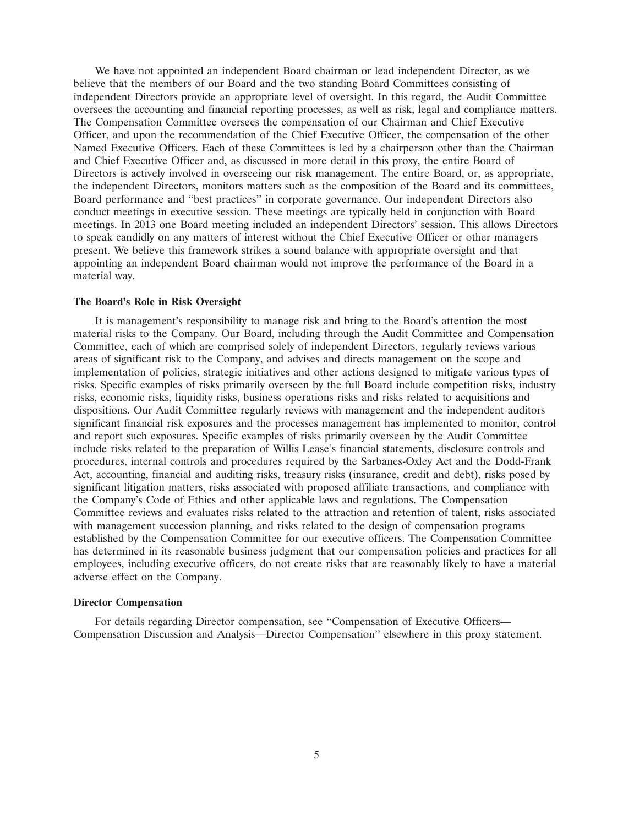We have not appointed an independent Board chairman or lead independent Director, as we believe that the members of our Board and the two standing Board Committees consisting of independent Directors provide an appropriate level of oversight. In this regard, the Audit Committee oversees the accounting and financial reporting processes, as well as risk, legal and compliance matters. The Compensation Committee oversees the compensation of our Chairman and Chief Executive Officer, and upon the recommendation of the Chief Executive Officer, the compensation of the other Named Executive Officers. Each of these Committees is led by a chairperson other than the Chairman and Chief Executive Officer and, as discussed in more detail in this proxy, the entire Board of Directors is actively involved in overseeing our risk management. The entire Board, or, as appropriate, the independent Directors, monitors matters such as the composition of the Board and its committees, Board performance and ''best practices'' in corporate governance. Our independent Directors also conduct meetings in executive session. These meetings are typically held in conjunction with Board meetings. In 2013 one Board meeting included an independent Directors' session. This allows Directors to speak candidly on any matters of interest without the Chief Executive Officer or other managers present. We believe this framework strikes a sound balance with appropriate oversight and that appointing an independent Board chairman would not improve the performance of the Board in a material way.

## **The Board's Role in Risk Oversight**

It is management's responsibility to manage risk and bring to the Board's attention the most material risks to the Company. Our Board, including through the Audit Committee and Compensation Committee, each of which are comprised solely of independent Directors, regularly reviews various areas of significant risk to the Company, and advises and directs management on the scope and implementation of policies, strategic initiatives and other actions designed to mitigate various types of risks. Specific examples of risks primarily overseen by the full Board include competition risks, industry risks, economic risks, liquidity risks, business operations risks and risks related to acquisitions and dispositions. Our Audit Committee regularly reviews with management and the independent auditors significant financial risk exposures and the processes management has implemented to monitor, control and report such exposures. Specific examples of risks primarily overseen by the Audit Committee include risks related to the preparation of Willis Lease's financial statements, disclosure controls and procedures, internal controls and procedures required by the Sarbanes-Oxley Act and the Dodd-Frank Act, accounting, financial and auditing risks, treasury risks (insurance, credit and debt), risks posed by significant litigation matters, risks associated with proposed affiliate transactions, and compliance with the Company's Code of Ethics and other applicable laws and regulations. The Compensation Committee reviews and evaluates risks related to the attraction and retention of talent, risks associated with management succession planning, and risks related to the design of compensation programs established by the Compensation Committee for our executive officers. The Compensation Committee has determined in its reasonable business judgment that our compensation policies and practices for all employees, including executive officers, do not create risks that are reasonably likely to have a material adverse effect on the Company.

#### **Director Compensation**

For details regarding Director compensation, see ''Compensation of Executive Officers— Compensation Discussion and Analysis—Director Compensation'' elsewhere in this proxy statement.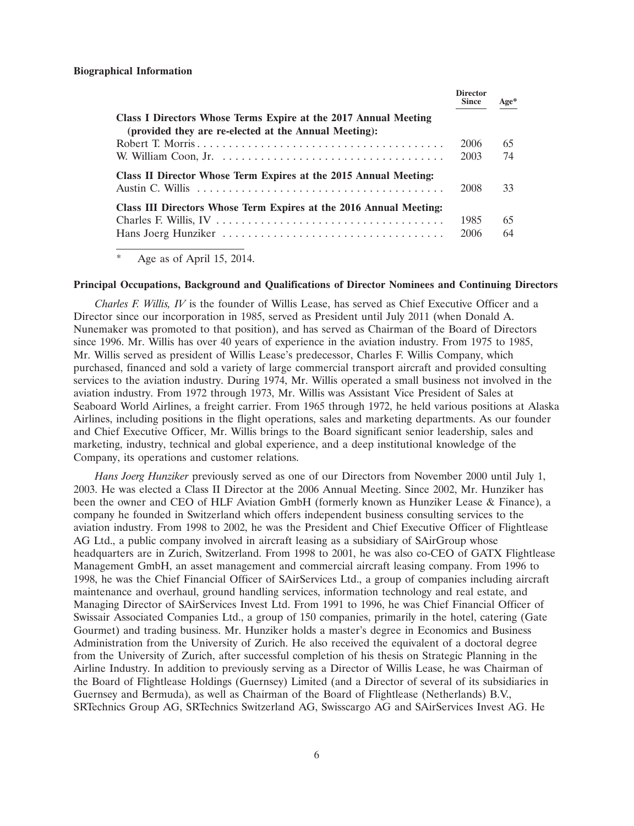|                                                                                                                          | <b>Director</b><br><b>Since</b> | $Age*$ |
|--------------------------------------------------------------------------------------------------------------------------|---------------------------------|--------|
| Class I Directors Whose Terms Expire at the 2017 Annual Meeting<br>(provided they are re-elected at the Annual Meeting): |                                 |        |
|                                                                                                                          | 2006                            | 65     |
|                                                                                                                          | 2003                            | 74     |
| Class II Director Whose Term Expires at the 2015 Annual Meeting:                                                         |                                 |        |
|                                                                                                                          | 2008                            | 33     |
| Class III Directors Whose Term Expires at the 2016 Annual Meeting:                                                       |                                 |        |
|                                                                                                                          | 1985                            | 65     |
|                                                                                                                          | 2006                            | 64     |

Age as of April 15, 2014.

#### **Principal Occupations, Background and Qualifications of Director Nominees and Continuing Directors**

*Charles F. Willis, IV* is the founder of Willis Lease, has served as Chief Executive Officer and a Director since our incorporation in 1985, served as President until July 2011 (when Donald A. Nunemaker was promoted to that position), and has served as Chairman of the Board of Directors since 1996. Mr. Willis has over 40 years of experience in the aviation industry. From 1975 to 1985, Mr. Willis served as president of Willis Lease's predecessor, Charles F. Willis Company, which purchased, financed and sold a variety of large commercial transport aircraft and provided consulting services to the aviation industry. During 1974, Mr. Willis operated a small business not involved in the aviation industry. From 1972 through 1973, Mr. Willis was Assistant Vice President of Sales at Seaboard World Airlines, a freight carrier. From 1965 through 1972, he held various positions at Alaska Airlines, including positions in the flight operations, sales and marketing departments. As our founder and Chief Executive Officer, Mr. Willis brings to the Board significant senior leadership, sales and marketing, industry, technical and global experience, and a deep institutional knowledge of the Company, its operations and customer relations.

*Hans Joerg Hunziker* previously served as one of our Directors from November 2000 until July 1, 2003. He was elected a Class II Director at the 2006 Annual Meeting. Since 2002, Mr. Hunziker has been the owner and CEO of HLF Aviation GmbH (formerly known as Hunziker Lease & Finance), a company he founded in Switzerland which offers independent business consulting services to the aviation industry. From 1998 to 2002, he was the President and Chief Executive Officer of Flightlease AG Ltd., a public company involved in aircraft leasing as a subsidiary of SAirGroup whose headquarters are in Zurich, Switzerland. From 1998 to 2001, he was also co-CEO of GATX Flightlease Management GmbH, an asset management and commercial aircraft leasing company. From 1996 to 1998, he was the Chief Financial Officer of SAirServices Ltd., a group of companies including aircraft maintenance and overhaul, ground handling services, information technology and real estate, and Managing Director of SAirServices Invest Ltd. From 1991 to 1996, he was Chief Financial Officer of Swissair Associated Companies Ltd., a group of 150 companies, primarily in the hotel, catering (Gate Gourmet) and trading business. Mr. Hunziker holds a master's degree in Economics and Business Administration from the University of Zurich. He also received the equivalent of a doctoral degree from the University of Zurich, after successful completion of his thesis on Strategic Planning in the Airline Industry. In addition to previously serving as a Director of Willis Lease, he was Chairman of the Board of Flightlease Holdings (Guernsey) Limited (and a Director of several of its subsidiaries in Guernsey and Bermuda), as well as Chairman of the Board of Flightlease (Netherlands) B.V., SRTechnics Group AG, SRTechnics Switzerland AG, Swisscargo AG and SAirServices Invest AG. He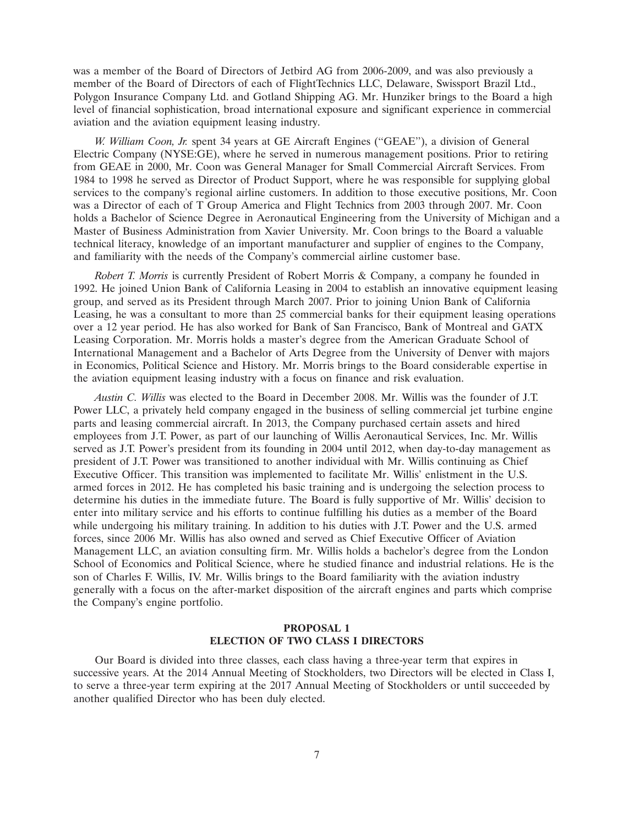was a member of the Board of Directors of Jetbird AG from 2006-2009, and was also previously a member of the Board of Directors of each of FlightTechnics LLC, Delaware, Swissport Brazil Ltd., Polygon Insurance Company Ltd. and Gotland Shipping AG. Mr. Hunziker brings to the Board a high level of financial sophistication, broad international exposure and significant experience in commercial aviation and the aviation equipment leasing industry.

*W. William Coon, Jr.* spent 34 years at GE Aircraft Engines (''GEAE''), a division of General Electric Company (NYSE:GE), where he served in numerous management positions. Prior to retiring from GEAE in 2000, Mr. Coon was General Manager for Small Commercial Aircraft Services. From 1984 to 1998 he served as Director of Product Support, where he was responsible for supplying global services to the company's regional airline customers. In addition to those executive positions, Mr. Coon was a Director of each of T Group America and Flight Technics from 2003 through 2007. Mr. Coon holds a Bachelor of Science Degree in Aeronautical Engineering from the University of Michigan and a Master of Business Administration from Xavier University. Mr. Coon brings to the Board a valuable technical literacy, knowledge of an important manufacturer and supplier of engines to the Company, and familiarity with the needs of the Company's commercial airline customer base.

*Robert T. Morris* is currently President of Robert Morris & Company, a company he founded in 1992. He joined Union Bank of California Leasing in 2004 to establish an innovative equipment leasing group, and served as its President through March 2007. Prior to joining Union Bank of California Leasing, he was a consultant to more than 25 commercial banks for their equipment leasing operations over a 12 year period. He has also worked for Bank of San Francisco, Bank of Montreal and GATX Leasing Corporation. Mr. Morris holds a master's degree from the American Graduate School of International Management and a Bachelor of Arts Degree from the University of Denver with majors in Economics, Political Science and History. Mr. Morris brings to the Board considerable expertise in the aviation equipment leasing industry with a focus on finance and risk evaluation.

*Austin C. Willis* was elected to the Board in December 2008. Mr. Willis was the founder of J.T. Power LLC, a privately held company engaged in the business of selling commercial jet turbine engine parts and leasing commercial aircraft. In 2013, the Company purchased certain assets and hired employees from J.T. Power, as part of our launching of Willis Aeronautical Services, Inc. Mr. Willis served as J.T. Power's president from its founding in 2004 until 2012, when day-to-day management as president of J.T. Power was transitioned to another individual with Mr. Willis continuing as Chief Executive Officer. This transition was implemented to facilitate Mr. Willis' enlistment in the U.S. armed forces in 2012. He has completed his basic training and is undergoing the selection process to determine his duties in the immediate future. The Board is fully supportive of Mr. Willis' decision to enter into military service and his efforts to continue fulfilling his duties as a member of the Board while undergoing his military training. In addition to his duties with J.T. Power and the U.S. armed forces, since 2006 Mr. Willis has also owned and served as Chief Executive Officer of Aviation Management LLC, an aviation consulting firm. Mr. Willis holds a bachelor's degree from the London School of Economics and Political Science, where he studied finance and industrial relations. He is the son of Charles F. Willis, IV. Mr. Willis brings to the Board familiarity with the aviation industry generally with a focus on the after-market disposition of the aircraft engines and parts which comprise the Company's engine portfolio.

## **PROPOSAL 1 ELECTION OF TWO CLASS I DIRECTORS**

Our Board is divided into three classes, each class having a three-year term that expires in successive years. At the 2014 Annual Meeting of Stockholders, two Directors will be elected in Class I, to serve a three-year term expiring at the 2017 Annual Meeting of Stockholders or until succeeded by another qualified Director who has been duly elected.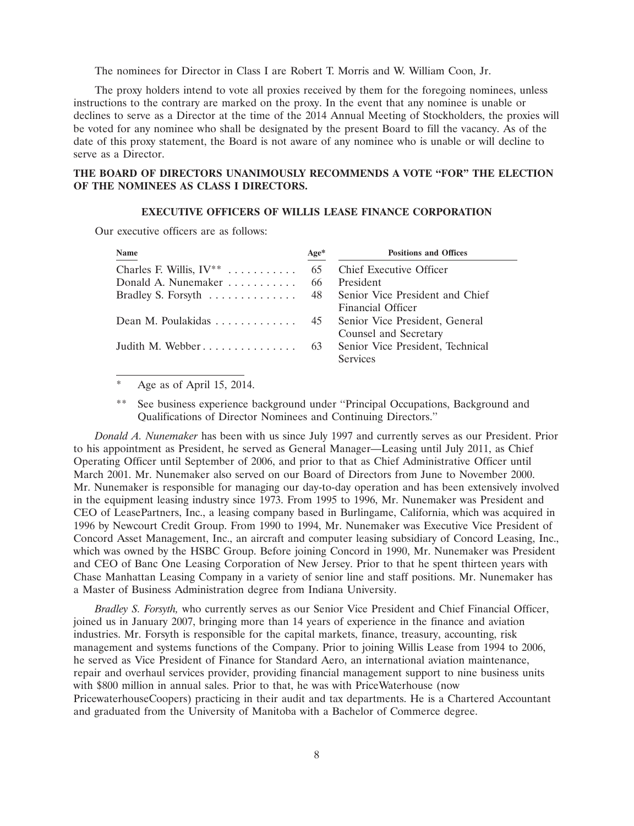The nominees for Director in Class I are Robert T. Morris and W. William Coon, Jr.

The proxy holders intend to vote all proxies received by them for the foregoing nominees, unless instructions to the contrary are marked on the proxy. In the event that any nominee is unable or declines to serve as a Director at the time of the 2014 Annual Meeting of Stockholders, the proxies will be voted for any nominee who shall be designated by the present Board to fill the vacancy. As of the date of this proxy statement, the Board is not aware of any nominee who is unable or will decline to serve as a Director.

## **THE BOARD OF DIRECTORS UNANIMOUSLY RECOMMENDS A VOTE ''FOR'' THE ELECTION OF THE NOMINEES AS CLASS I DIRECTORS.**

### **EXECUTIVE OFFICERS OF WILLIS LEASE FINANCE CORPORATION**

Our executive officers are as follows:

| Name                                            | Age* | <b>Positions and Offices</b>                                |
|-------------------------------------------------|------|-------------------------------------------------------------|
| Charles F. Willis, $IV^{**}$                    | 65   | Chief Executive Officer                                     |
| Donald A. Nunemaker                             | -66  | President                                                   |
| Bradley S. Forsyth  48                          |      | Senior Vice President and Chief<br><b>Financial Officer</b> |
| Dean M. Poulakidas $\dots \dots \dots \dots$ 45 |      | Senior Vice President, General<br>Counsel and Secretary     |
| Judith M. Webber $63$                           |      | Senior Vice President, Technical<br><b>Services</b>         |

Age as of April 15, 2014.

See business experience background under "Principal Occupations, Background and Qualifications of Director Nominees and Continuing Directors.''

*Donald A. Nunemaker* has been with us since July 1997 and currently serves as our President. Prior to his appointment as President, he served as General Manager—Leasing until July 2011, as Chief Operating Officer until September of 2006, and prior to that as Chief Administrative Officer until March 2001. Mr. Nunemaker also served on our Board of Directors from June to November 2000. Mr. Nunemaker is responsible for managing our day-to-day operation and has been extensively involved in the equipment leasing industry since 1973. From 1995 to 1996, Mr. Nunemaker was President and CEO of LeasePartners, Inc., a leasing company based in Burlingame, California, which was acquired in 1996 by Newcourt Credit Group. From 1990 to 1994, Mr. Nunemaker was Executive Vice President of Concord Asset Management, Inc., an aircraft and computer leasing subsidiary of Concord Leasing, Inc., which was owned by the HSBC Group. Before joining Concord in 1990, Mr. Nunemaker was President and CEO of Banc One Leasing Corporation of New Jersey. Prior to that he spent thirteen years with Chase Manhattan Leasing Company in a variety of senior line and staff positions. Mr. Nunemaker has a Master of Business Administration degree from Indiana University.

*Bradley S. Forsyth,* who currently serves as our Senior Vice President and Chief Financial Officer, joined us in January 2007, bringing more than 14 years of experience in the finance and aviation industries. Mr. Forsyth is responsible for the capital markets, finance, treasury, accounting, risk management and systems functions of the Company. Prior to joining Willis Lease from 1994 to 2006, he served as Vice President of Finance for Standard Aero, an international aviation maintenance, repair and overhaul services provider, providing financial management support to nine business units with \$800 million in annual sales. Prior to that, he was with PriceWaterhouse (now PricewaterhouseCoopers) practicing in their audit and tax departments. He is a Chartered Accountant and graduated from the University of Manitoba with a Bachelor of Commerce degree.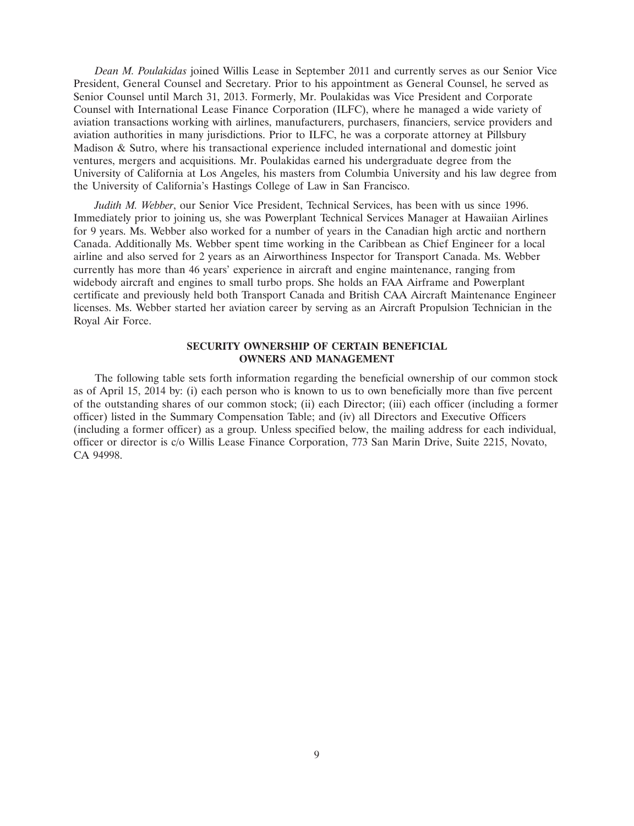*Dean M. Poulakidas* joined Willis Lease in September 2011 and currently serves as our Senior Vice President, General Counsel and Secretary. Prior to his appointment as General Counsel, he served as Senior Counsel until March 31, 2013. Formerly, Mr. Poulakidas was Vice President and Corporate Counsel with International Lease Finance Corporation (ILFC), where he managed a wide variety of aviation transactions working with airlines, manufacturers, purchasers, financiers, service providers and aviation authorities in many jurisdictions. Prior to ILFC, he was a corporate attorney at Pillsbury Madison & Sutro, where his transactional experience included international and domestic joint ventures, mergers and acquisitions. Mr. Poulakidas earned his undergraduate degree from the University of California at Los Angeles, his masters from Columbia University and his law degree from the University of California's Hastings College of Law in San Francisco.

*Judith M. Webber*, our Senior Vice President, Technical Services, has been with us since 1996. Immediately prior to joining us, she was Powerplant Technical Services Manager at Hawaiian Airlines for 9 years. Ms. Webber also worked for a number of years in the Canadian high arctic and northern Canada. Additionally Ms. Webber spent time working in the Caribbean as Chief Engineer for a local airline and also served for 2 years as an Airworthiness Inspector for Transport Canada. Ms. Webber currently has more than 46 years' experience in aircraft and engine maintenance, ranging from widebody aircraft and engines to small turbo props. She holds an FAA Airframe and Powerplant certificate and previously held both Transport Canada and British CAA Aircraft Maintenance Engineer licenses. Ms. Webber started her aviation career by serving as an Aircraft Propulsion Technician in the Royal Air Force.

## **SECURITY OWNERSHIP OF CERTAIN BENEFICIAL OWNERS AND MANAGEMENT**

The following table sets forth information regarding the beneficial ownership of our common stock as of April 15, 2014 by: (i) each person who is known to us to own beneficially more than five percent of the outstanding shares of our common stock; (ii) each Director; (iii) each officer (including a former officer) listed in the Summary Compensation Table; and (iv) all Directors and Executive Officers (including a former officer) as a group. Unless specified below, the mailing address for each individual, officer or director is c/o Willis Lease Finance Corporation, 773 San Marin Drive, Suite 2215, Novato, CA 94998.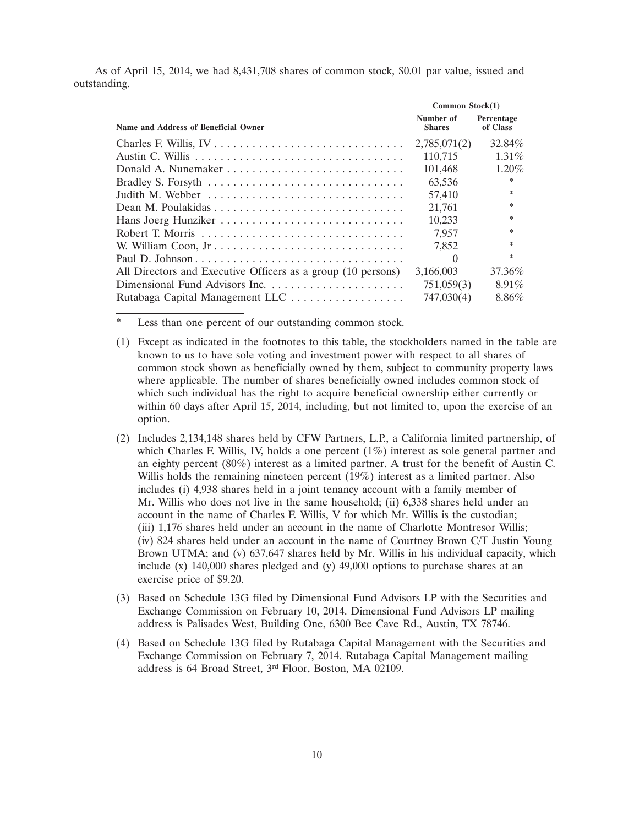As of April 15, 2014, we had 8,431,708 shares of common stock, \$0.01 par value, issued and outstanding.

|                                                              | Common Stock(1)            |                        |  |
|--------------------------------------------------------------|----------------------------|------------------------|--|
| Name and Address of Beneficial Owner                         | Number of<br><b>Shares</b> | Percentage<br>of Class |  |
|                                                              | 2,785,071(2)               | 32.84%                 |  |
|                                                              | 110,715                    | $1.31\%$               |  |
|                                                              | 101,468                    | $1.20\%$               |  |
|                                                              | 63,536                     | *                      |  |
| Judith M. Webber                                             | 57,410                     | $\ast$                 |  |
|                                                              | 21,761                     | *                      |  |
|                                                              | 10,233                     | $\ast$                 |  |
|                                                              | 7.957                      | *                      |  |
|                                                              | 7.852                      | $\ast$                 |  |
|                                                              | $\left( \right)$           | $\ast$                 |  |
| All Directors and Executive Officers as a group (10 persons) | 3,166,003                  | 37.36%                 |  |
| Dimensional Fund Advisors Inc.                               | 751,059(3)                 | $8.91\%$               |  |
|                                                              | 747,030(4)                 | 8.86%                  |  |

Less than one percent of our outstanding common stock.

- (1) Except as indicated in the footnotes to this table, the stockholders named in the table are known to us to have sole voting and investment power with respect to all shares of common stock shown as beneficially owned by them, subject to community property laws where applicable. The number of shares beneficially owned includes common stock of which such individual has the right to acquire beneficial ownership either currently or within 60 days after April 15, 2014, including, but not limited to, upon the exercise of an option.
- (2) Includes 2,134,148 shares held by CFW Partners, L.P., a California limited partnership, of which Charles F. Willis, IV, holds a one percent (1%) interest as sole general partner and an eighty percent (80%) interest as a limited partner. A trust for the benefit of Austin C. Willis holds the remaining nineteen percent (19%) interest as a limited partner. Also includes (i) 4,938 shares held in a joint tenancy account with a family member of Mr. Willis who does not live in the same household; (ii) 6,338 shares held under an account in the name of Charles F. Willis, V for which Mr. Willis is the custodian; (iii) 1,176 shares held under an account in the name of Charlotte Montresor Willis; (iv) 824 shares held under an account in the name of Courtney Brown C/T Justin Young Brown UTMA; and (v) 637,647 shares held by Mr. Willis in his individual capacity, which include (x) 140,000 shares pledged and (y) 49,000 options to purchase shares at an exercise price of \$9.20.
- (3) Based on Schedule 13G filed by Dimensional Fund Advisors LP with the Securities and Exchange Commission on February 10, 2014. Dimensional Fund Advisors LP mailing address is Palisades West, Building One, 6300 Bee Cave Rd., Austin, TX 78746.
- (4) Based on Schedule 13G filed by Rutabaga Capital Management with the Securities and Exchange Commission on February 7, 2014. Rutabaga Capital Management mailing address is 64 Broad Street, 3rd Floor, Boston, MA 02109.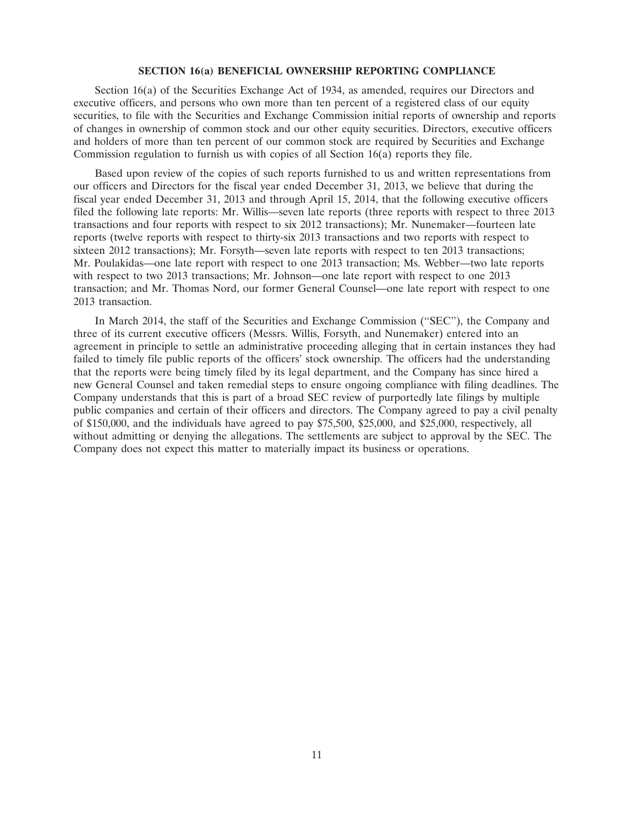#### **SECTION 16(a) BENEFICIAL OWNERSHIP REPORTING COMPLIANCE**

Section 16(a) of the Securities Exchange Act of 1934, as amended, requires our Directors and executive officers, and persons who own more than ten percent of a registered class of our equity securities, to file with the Securities and Exchange Commission initial reports of ownership and reports of changes in ownership of common stock and our other equity securities. Directors, executive officers and holders of more than ten percent of our common stock are required by Securities and Exchange Commission regulation to furnish us with copies of all Section 16(a) reports they file.

Based upon review of the copies of such reports furnished to us and written representations from our officers and Directors for the fiscal year ended December 31, 2013, we believe that during the fiscal year ended December 31, 2013 and through April 15, 2014, that the following executive officers filed the following late reports: Mr. Willis—seven late reports (three reports with respect to three 2013 transactions and four reports with respect to six 2012 transactions); Mr. Nunemaker—fourteen late reports (twelve reports with respect to thirty-six 2013 transactions and two reports with respect to sixteen 2012 transactions); Mr. Forsyth—seven late reports with respect to ten 2013 transactions; Mr. Poulakidas—one late report with respect to one 2013 transaction; Ms. Webber—two late reports with respect to two 2013 transactions; Mr. Johnson—one late report with respect to one 2013 transaction; and Mr. Thomas Nord, our former General Counsel—one late report with respect to one 2013 transaction

In March 2014, the staff of the Securities and Exchange Commission (''SEC''), the Company and three of its current executive officers (Messrs. Willis, Forsyth, and Nunemaker) entered into an agreement in principle to settle an administrative proceeding alleging that in certain instances they had failed to timely file public reports of the officers' stock ownership. The officers had the understanding that the reports were being timely filed by its legal department, and the Company has since hired a new General Counsel and taken remedial steps to ensure ongoing compliance with filing deadlines. The Company understands that this is part of a broad SEC review of purportedly late filings by multiple public companies and certain of their officers and directors. The Company agreed to pay a civil penalty of \$150,000, and the individuals have agreed to pay \$75,500, \$25,000, and \$25,000, respectively, all without admitting or denying the allegations. The settlements are subject to approval by the SEC. The Company does not expect this matter to materially impact its business or operations.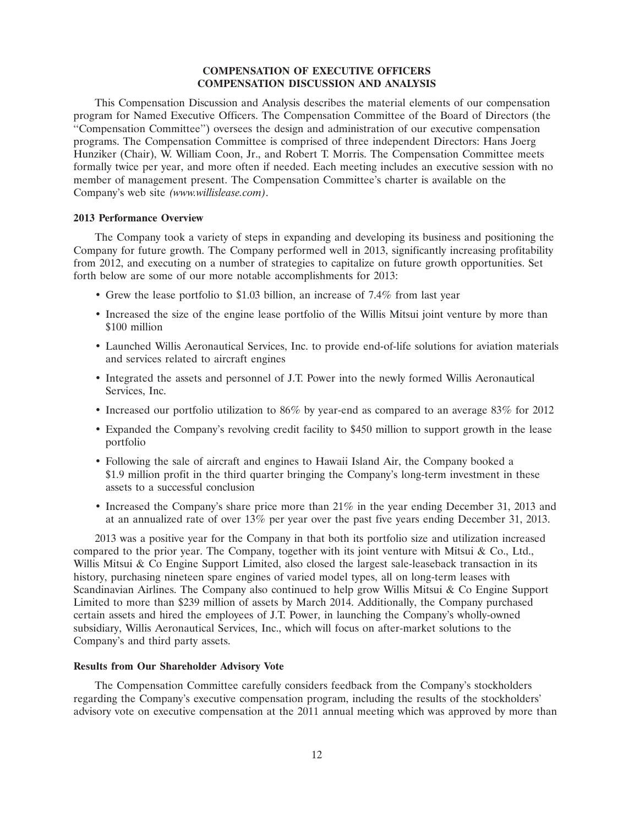## **COMPENSATION OF EXECUTIVE OFFICERS COMPENSATION DISCUSSION AND ANALYSIS**

This Compensation Discussion and Analysis describes the material elements of our compensation program for Named Executive Officers. The Compensation Committee of the Board of Directors (the ''Compensation Committee'') oversees the design and administration of our executive compensation programs. The Compensation Committee is comprised of three independent Directors: Hans Joerg Hunziker (Chair), W. William Coon, Jr., and Robert T. Morris. The Compensation Committee meets formally twice per year, and more often if needed. Each meeting includes an executive session with no member of management present. The Compensation Committee's charter is available on the Company's web site *(www.willislease.com)*.

## **2013 Performance Overview**

The Company took a variety of steps in expanding and developing its business and positioning the Company for future growth. The Company performed well in 2013, significantly increasing profitability from 2012, and executing on a number of strategies to capitalize on future growth opportunities. Set forth below are some of our more notable accomplishments for 2013:

- Grew the lease portfolio to \$1.03 billion, an increase of 7.4% from last year
- Increased the size of the engine lease portfolio of the Willis Mitsui joint venture by more than \$100 million
- Launched Willis Aeronautical Services, Inc. to provide end-of-life solutions for aviation materials and services related to aircraft engines
- Integrated the assets and personnel of J.T. Power into the newly formed Willis Aeronautical Services, Inc.
- Increased our portfolio utilization to 86% by year-end as compared to an average 83% for 2012
- Expanded the Company's revolving credit facility to \$450 million to support growth in the lease portfolio
- Following the sale of aircraft and engines to Hawaii Island Air, the Company booked a \$1.9 million profit in the third quarter bringing the Company's long-term investment in these assets to a successful conclusion
- Increased the Company's share price more than 21% in the year ending December 31, 2013 and at an annualized rate of over 13% per year over the past five years ending December 31, 2013.

2013 was a positive year for the Company in that both its portfolio size and utilization increased compared to the prior year. The Company, together with its joint venture with Mitsui  $\&$  Co., Ltd., Willis Mitsui & Co Engine Support Limited, also closed the largest sale-leaseback transaction in its history, purchasing nineteen spare engines of varied model types, all on long-term leases with Scandinavian Airlines. The Company also continued to help grow Willis Mitsui & Co Engine Support Limited to more than \$239 million of assets by March 2014. Additionally, the Company purchased certain assets and hired the employees of J.T. Power, in launching the Company's wholly-owned subsidiary, Willis Aeronautical Services, Inc., which will focus on after-market solutions to the Company's and third party assets.

### **Results from Our Shareholder Advisory Vote**

The Compensation Committee carefully considers feedback from the Company's stockholders regarding the Company's executive compensation program, including the results of the stockholders' advisory vote on executive compensation at the 2011 annual meeting which was approved by more than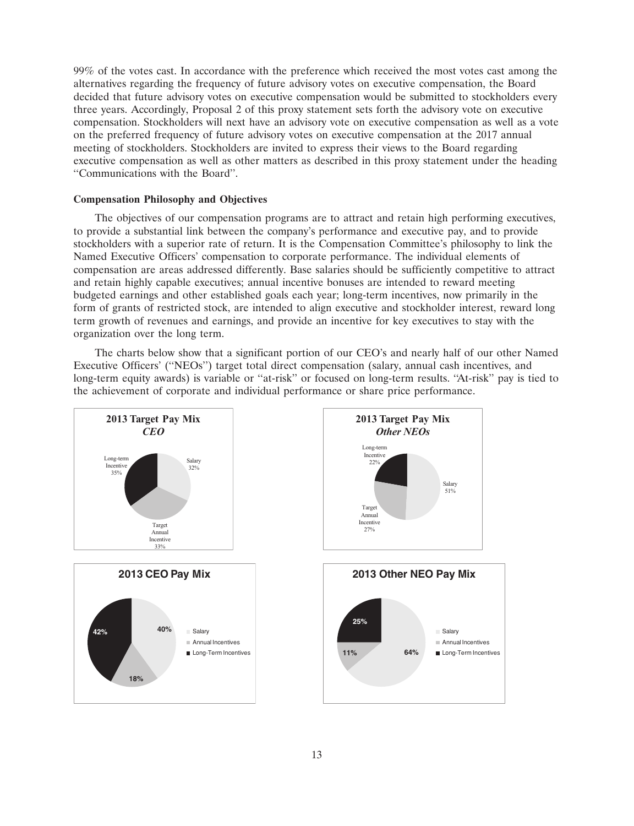99% of the votes cast. In accordance with the preference which received the most votes cast among the alternatives regarding the frequency of future advisory votes on executive compensation, the Board decided that future advisory votes on executive compensation would be submitted to stockholders every three years. Accordingly, Proposal 2 of this proxy statement sets forth the advisory vote on executive compensation. Stockholders will next have an advisory vote on executive compensation as well as a vote on the preferred frequency of future advisory votes on executive compensation at the 2017 annual meeting of stockholders. Stockholders are invited to express their views to the Board regarding executive compensation as well as other matters as described in this proxy statement under the heading ''Communications with the Board''.

## **Compensation Philosophy and Objectives**

The objectives of our compensation programs are to attract and retain high performing executives, to provide a substantial link between the company's performance and executive pay, and to provide stockholders with a superior rate of return. It is the Compensation Committee's philosophy to link the Named Executive Officers' compensation to corporate performance. The individual elements of compensation are areas addressed differently. Base salaries should be sufficiently competitive to attract and retain highly capable executives; annual incentive bonuses are intended to reward meeting budgeted earnings and other established goals each year; long-term incentives, now primarily in the form of grants of restricted stock, are intended to align executive and stockholder interest, reward long term growth of revenues and earnings, and provide an incentive for key executives to stay with the organization over the long term.

The charts below show that a significant portion of our CEO's and nearly half of our other Named Executive Officers' (''NEOs'') target total direct compensation (salary, annual cash incentives, and long-term equity awards) is variable or "at-risk" or focused on long-term results. "At-risk" pay is tied to the achievement of corporate and individual performance or share price performance.

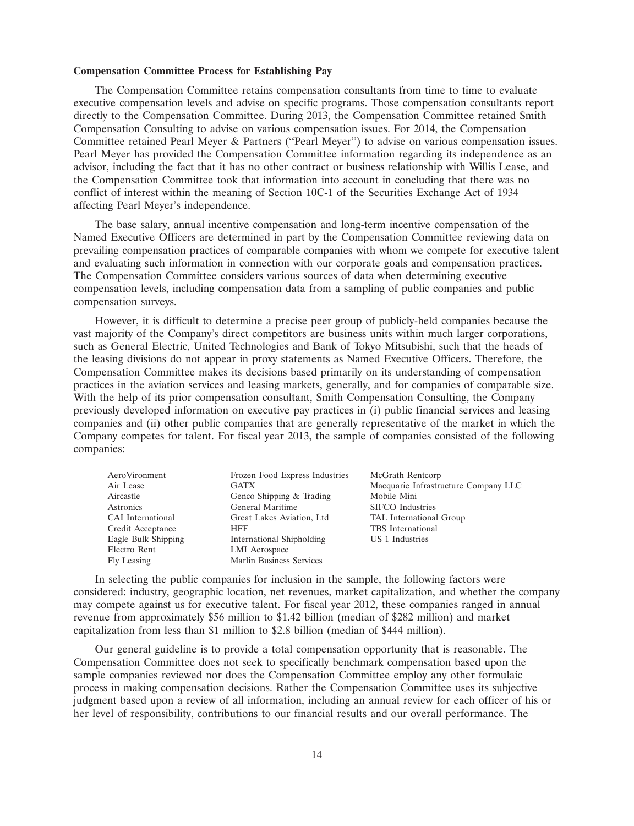#### **Compensation Committee Process for Establishing Pay**

The Compensation Committee retains compensation consultants from time to time to evaluate executive compensation levels and advise on specific programs. Those compensation consultants report directly to the Compensation Committee. During 2013, the Compensation Committee retained Smith Compensation Consulting to advise on various compensation issues. For 2014, the Compensation Committee retained Pearl Meyer & Partners (''Pearl Meyer'') to advise on various compensation issues. Pearl Meyer has provided the Compensation Committee information regarding its independence as an advisor, including the fact that it has no other contract or business relationship with Willis Lease, and the Compensation Committee took that information into account in concluding that there was no conflict of interest within the meaning of Section 10C-1 of the Securities Exchange Act of 1934 affecting Pearl Meyer's independence.

The base salary, annual incentive compensation and long-term incentive compensation of the Named Executive Officers are determined in part by the Compensation Committee reviewing data on prevailing compensation practices of comparable companies with whom we compete for executive talent and evaluating such information in connection with our corporate goals and compensation practices. The Compensation Committee considers various sources of data when determining executive compensation levels, including compensation data from a sampling of public companies and public compensation surveys.

However, it is difficult to determine a precise peer group of publicly-held companies because the vast majority of the Company's direct competitors are business units within much larger corporations, such as General Electric, United Technologies and Bank of Tokyo Mitsubishi, such that the heads of the leasing divisions do not appear in proxy statements as Named Executive Officers. Therefore, the Compensation Committee makes its decisions based primarily on its understanding of compensation practices in the aviation services and leasing markets, generally, and for companies of comparable size. With the help of its prior compensation consultant, Smith Compensation Consulting, the Company previously developed information on executive pay practices in (i) public financial services and leasing companies and (ii) other public companies that are generally representative of the market in which the Company competes for talent. For fiscal year 2013, the sample of companies consisted of the following companies:

| AeroVironment       | Frozen Food Express Industries | McGrath Rentcorp                     |
|---------------------|--------------------------------|--------------------------------------|
| Air Lease           | <b>GATX</b>                    | Macquarie Infrastructure Company LLC |
| Aircastle           | Genco Shipping & Trading       | Mobile Mini                          |
| Astronics           | General Maritime               | <b>SIFCO</b> Industries              |
| CAI International   | Great Lakes Aviation, Ltd      | TAL International Group              |
| Credit Acceptance   | <b>HFF</b>                     | <b>TBS</b> International             |
| Eagle Bulk Shipping | International Shipholding      | US 1 Industries                      |
| Electro Rent        | LMI Aerospace                  |                                      |
| Fly Leasing         | Marlin Business Services       |                                      |

In selecting the public companies for inclusion in the sample, the following factors were considered: industry, geographic location, net revenues, market capitalization, and whether the company may compete against us for executive talent. For fiscal year 2012, these companies ranged in annual revenue from approximately \$56 million to \$1.42 billion (median of \$282 million) and market capitalization from less than \$1 million to \$2.8 billion (median of \$444 million).

Our general guideline is to provide a total compensation opportunity that is reasonable. The Compensation Committee does not seek to specifically benchmark compensation based upon the sample companies reviewed nor does the Compensation Committee employ any other formulaic process in making compensation decisions. Rather the Compensation Committee uses its subjective judgment based upon a review of all information, including an annual review for each officer of his or her level of responsibility, contributions to our financial results and our overall performance. The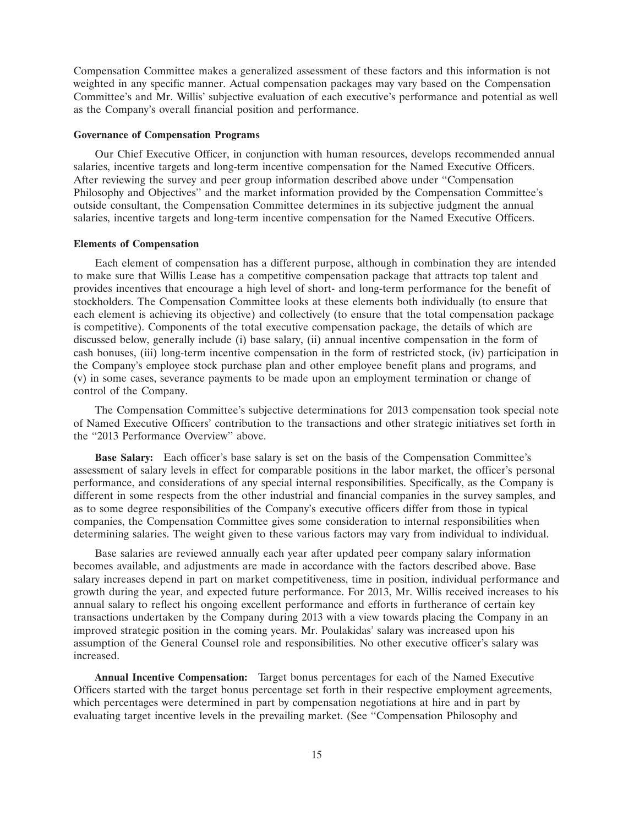Compensation Committee makes a generalized assessment of these factors and this information is not weighted in any specific manner. Actual compensation packages may vary based on the Compensation Committee's and Mr. Willis' subjective evaluation of each executive's performance and potential as well as the Company's overall financial position and performance.

#### **Governance of Compensation Programs**

Our Chief Executive Officer, in conjunction with human resources, develops recommended annual salaries, incentive targets and long-term incentive compensation for the Named Executive Officers. After reviewing the survey and peer group information described above under ''Compensation Philosophy and Objectives'' and the market information provided by the Compensation Committee's outside consultant, the Compensation Committee determines in its subjective judgment the annual salaries, incentive targets and long-term incentive compensation for the Named Executive Officers.

#### **Elements of Compensation**

Each element of compensation has a different purpose, although in combination they are intended to make sure that Willis Lease has a competitive compensation package that attracts top talent and provides incentives that encourage a high level of short- and long-term performance for the benefit of stockholders. The Compensation Committee looks at these elements both individually (to ensure that each element is achieving its objective) and collectively (to ensure that the total compensation package is competitive). Components of the total executive compensation package, the details of which are discussed below, generally include (i) base salary, (ii) annual incentive compensation in the form of cash bonuses, (iii) long-term incentive compensation in the form of restricted stock, (iv) participation in the Company's employee stock purchase plan and other employee benefit plans and programs, and (v) in some cases, severance payments to be made upon an employment termination or change of control of the Company.

The Compensation Committee's subjective determinations for 2013 compensation took special note of Named Executive Officers' contribution to the transactions and other strategic initiatives set forth in the ''2013 Performance Overview'' above.

**Base Salary:** Each officer's base salary is set on the basis of the Compensation Committee's assessment of salary levels in effect for comparable positions in the labor market, the officer's personal performance, and considerations of any special internal responsibilities. Specifically, as the Company is different in some respects from the other industrial and financial companies in the survey samples, and as to some degree responsibilities of the Company's executive officers differ from those in typical companies, the Compensation Committee gives some consideration to internal responsibilities when determining salaries. The weight given to these various factors may vary from individual to individual.

Base salaries are reviewed annually each year after updated peer company salary information becomes available, and adjustments are made in accordance with the factors described above. Base salary increases depend in part on market competitiveness, time in position, individual performance and growth during the year, and expected future performance. For 2013, Mr. Willis received increases to his annual salary to reflect his ongoing excellent performance and efforts in furtherance of certain key transactions undertaken by the Company during 2013 with a view towards placing the Company in an improved strategic position in the coming years. Mr. Poulakidas' salary was increased upon his assumption of the General Counsel role and responsibilities. No other executive officer's salary was increased.

**Annual Incentive Compensation:** Target bonus percentages for each of the Named Executive Officers started with the target bonus percentage set forth in their respective employment agreements, which percentages were determined in part by compensation negotiations at hire and in part by evaluating target incentive levels in the prevailing market. (See ''Compensation Philosophy and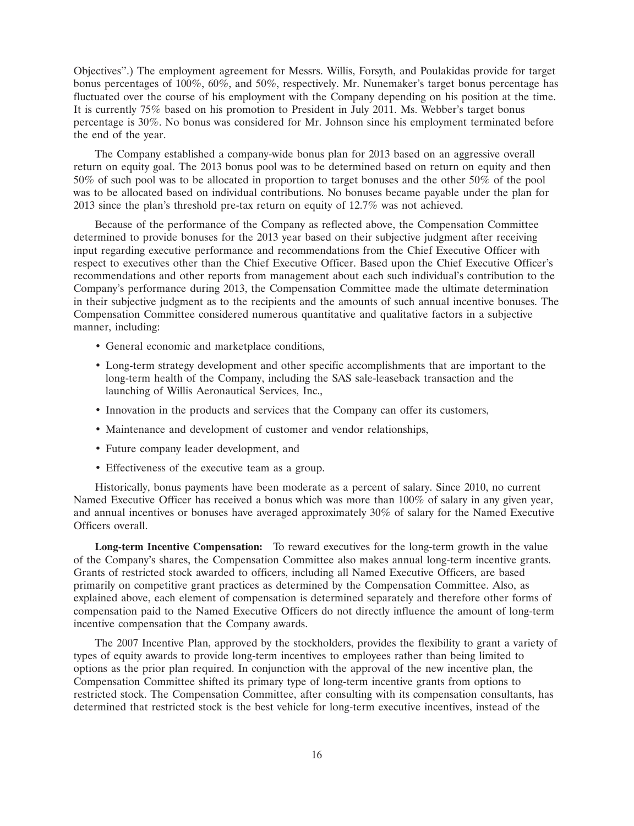Objectives''.) The employment agreement for Messrs. Willis, Forsyth, and Poulakidas provide for target bonus percentages of 100%, 60%, and 50%, respectively. Mr. Nunemaker's target bonus percentage has fluctuated over the course of his employment with the Company depending on his position at the time. It is currently 75% based on his promotion to President in July 2011. Ms. Webber's target bonus percentage is 30%. No bonus was considered for Mr. Johnson since his employment terminated before the end of the year.

The Company established a company-wide bonus plan for 2013 based on an aggressive overall return on equity goal. The 2013 bonus pool was to be determined based on return on equity and then 50% of such pool was to be allocated in proportion to target bonuses and the other 50% of the pool was to be allocated based on individual contributions. No bonuses became payable under the plan for 2013 since the plan's threshold pre-tax return on equity of 12.7% was not achieved.

Because of the performance of the Company as reflected above, the Compensation Committee determined to provide bonuses for the 2013 year based on their subjective judgment after receiving input regarding executive performance and recommendations from the Chief Executive Officer with respect to executives other than the Chief Executive Officer. Based upon the Chief Executive Officer's recommendations and other reports from management about each such individual's contribution to the Company's performance during 2013, the Compensation Committee made the ultimate determination in their subjective judgment as to the recipients and the amounts of such annual incentive bonuses. The Compensation Committee considered numerous quantitative and qualitative factors in a subjective manner, including:

- General economic and marketplace conditions,
- Long-term strategy development and other specific accomplishments that are important to the long-term health of the Company, including the SAS sale-leaseback transaction and the launching of Willis Aeronautical Services, Inc.,
- Innovation in the products and services that the Company can offer its customers,
- Maintenance and development of customer and vendor relationships,
- Future company leader development, and
- Effectiveness of the executive team as a group.

Historically, bonus payments have been moderate as a percent of salary. Since 2010, no current Named Executive Officer has received a bonus which was more than 100% of salary in any given year, and annual incentives or bonuses have averaged approximately 30% of salary for the Named Executive Officers overall.

**Long-term Incentive Compensation:** To reward executives for the long-term growth in the value of the Company's shares, the Compensation Committee also makes annual long-term incentive grants. Grants of restricted stock awarded to officers, including all Named Executive Officers, are based primarily on competitive grant practices as determined by the Compensation Committee. Also, as explained above, each element of compensation is determined separately and therefore other forms of compensation paid to the Named Executive Officers do not directly influence the amount of long-term incentive compensation that the Company awards.

The 2007 Incentive Plan, approved by the stockholders, provides the flexibility to grant a variety of types of equity awards to provide long-term incentives to employees rather than being limited to options as the prior plan required. In conjunction with the approval of the new incentive plan, the Compensation Committee shifted its primary type of long-term incentive grants from options to restricted stock. The Compensation Committee, after consulting with its compensation consultants, has determined that restricted stock is the best vehicle for long-term executive incentives, instead of the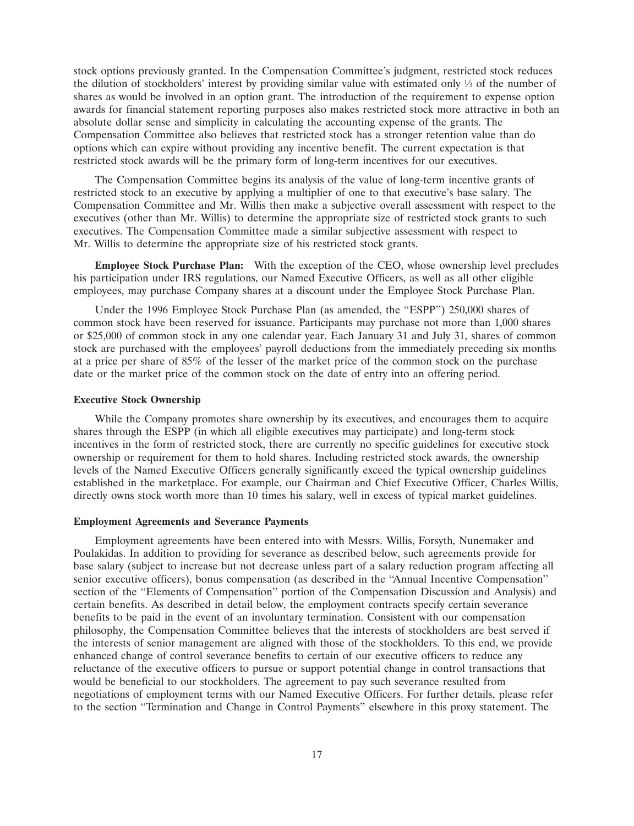stock options previously granted. In the Compensation Committee's judgment, restricted stock reduces the dilution of stockholders' interest by providing similar value with estimated only  $\frac{1}{3}$  of the number of shares as would be involved in an option grant. The introduction of the requirement to expense option awards for financial statement reporting purposes also makes restricted stock more attractive in both an absolute dollar sense and simplicity in calculating the accounting expense of the grants. The Compensation Committee also believes that restricted stock has a stronger retention value than do options which can expire without providing any incentive benefit. The current expectation is that restricted stock awards will be the primary form of long-term incentives for our executives.

The Compensation Committee begins its analysis of the value of long-term incentive grants of restricted stock to an executive by applying a multiplier of one to that executive's base salary. The Compensation Committee and Mr. Willis then make a subjective overall assessment with respect to the executives (other than Mr. Willis) to determine the appropriate size of restricted stock grants to such executives. The Compensation Committee made a similar subjective assessment with respect to Mr. Willis to determine the appropriate size of his restricted stock grants.

**Employee Stock Purchase Plan:** With the exception of the CEO, whose ownership level precludes his participation under IRS regulations, our Named Executive Officers, as well as all other eligible employees, may purchase Company shares at a discount under the Employee Stock Purchase Plan.

Under the 1996 Employee Stock Purchase Plan (as amended, the ''ESPP'') 250,000 shares of common stock have been reserved for issuance. Participants may purchase not more than 1,000 shares or \$25,000 of common stock in any one calendar year. Each January 31 and July 31, shares of common stock are purchased with the employees' payroll deductions from the immediately preceding six months at a price per share of 85% of the lesser of the market price of the common stock on the purchase date or the market price of the common stock on the date of entry into an offering period.

## **Executive Stock Ownership**

While the Company promotes share ownership by its executives, and encourages them to acquire shares through the ESPP (in which all eligible executives may participate) and long-term stock incentives in the form of restricted stock, there are currently no specific guidelines for executive stock ownership or requirement for them to hold shares. Including restricted stock awards, the ownership levels of the Named Executive Officers generally significantly exceed the typical ownership guidelines established in the marketplace. For example, our Chairman and Chief Executive Officer, Charles Willis, directly owns stock worth more than 10 times his salary, well in excess of typical market guidelines.

### **Employment Agreements and Severance Payments**

Employment agreements have been entered into with Messrs. Willis, Forsyth, Nunemaker and Poulakidas. In addition to providing for severance as described below, such agreements provide for base salary (subject to increase but not decrease unless part of a salary reduction program affecting all senior executive officers), bonus compensation (as described in the "Annual Incentive Compensation" section of the "Elements of Compensation" portion of the Compensation Discussion and Analysis) and certain benefits. As described in detail below, the employment contracts specify certain severance benefits to be paid in the event of an involuntary termination. Consistent with our compensation philosophy, the Compensation Committee believes that the interests of stockholders are best served if the interests of senior management are aligned with those of the stockholders. To this end, we provide enhanced change of control severance benefits to certain of our executive officers to reduce any reluctance of the executive officers to pursue or support potential change in control transactions that would be beneficial to our stockholders. The agreement to pay such severance resulted from negotiations of employment terms with our Named Executive Officers. For further details, please refer to the section ''Termination and Change in Control Payments'' elsewhere in this proxy statement. The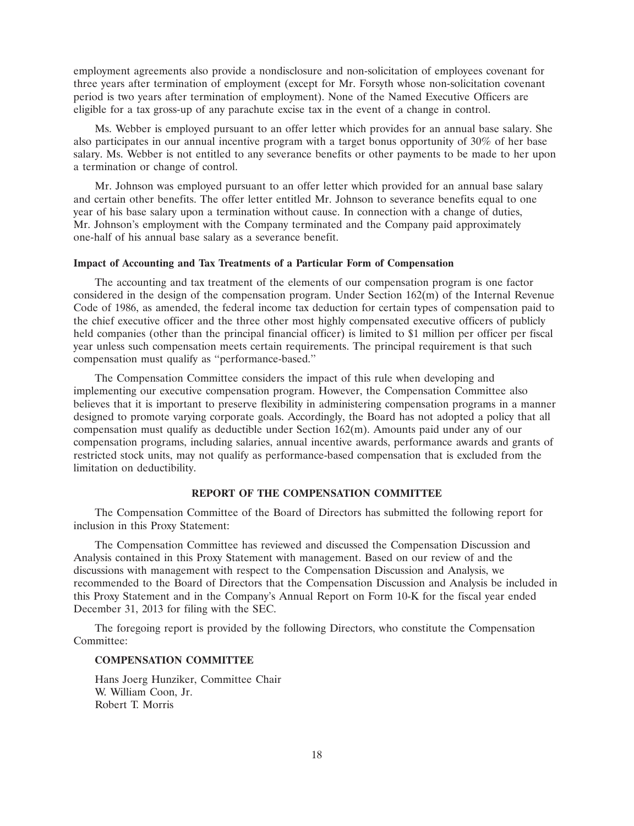employment agreements also provide a nondisclosure and non-solicitation of employees covenant for three years after termination of employment (except for Mr. Forsyth whose non-solicitation covenant period is two years after termination of employment). None of the Named Executive Officers are eligible for a tax gross-up of any parachute excise tax in the event of a change in control.

Ms. Webber is employed pursuant to an offer letter which provides for an annual base salary. She also participates in our annual incentive program with a target bonus opportunity of 30% of her base salary. Ms. Webber is not entitled to any severance benefits or other payments to be made to her upon a termination or change of control.

Mr. Johnson was employed pursuant to an offer letter which provided for an annual base salary and certain other benefits. The offer letter entitled Mr. Johnson to severance benefits equal to one year of his base salary upon a termination without cause. In connection with a change of duties, Mr. Johnson's employment with the Company terminated and the Company paid approximately one-half of his annual base salary as a severance benefit.

## **Impact of Accounting and Tax Treatments of a Particular Form of Compensation**

The accounting and tax treatment of the elements of our compensation program is one factor considered in the design of the compensation program. Under Section 162(m) of the Internal Revenue Code of 1986, as amended, the federal income tax deduction for certain types of compensation paid to the chief executive officer and the three other most highly compensated executive officers of publicly held companies (other than the principal financial officer) is limited to \$1 million per officer per fiscal year unless such compensation meets certain requirements. The principal requirement is that such compensation must qualify as ''performance-based.''

The Compensation Committee considers the impact of this rule when developing and implementing our executive compensation program. However, the Compensation Committee also believes that it is important to preserve flexibility in administering compensation programs in a manner designed to promote varying corporate goals. Accordingly, the Board has not adopted a policy that all compensation must qualify as deductible under Section 162(m). Amounts paid under any of our compensation programs, including salaries, annual incentive awards, performance awards and grants of restricted stock units, may not qualify as performance-based compensation that is excluded from the limitation on deductibility.

#### **REPORT OF THE COMPENSATION COMMITTEE**

The Compensation Committee of the Board of Directors has submitted the following report for inclusion in this Proxy Statement:

The Compensation Committee has reviewed and discussed the Compensation Discussion and Analysis contained in this Proxy Statement with management. Based on our review of and the discussions with management with respect to the Compensation Discussion and Analysis, we recommended to the Board of Directors that the Compensation Discussion and Analysis be included in this Proxy Statement and in the Company's Annual Report on Form 10-K for the fiscal year ended December 31, 2013 for filing with the SEC.

The foregoing report is provided by the following Directors, who constitute the Compensation Committee<sup>.</sup>

## **COMPENSATION COMMITTEE**

Hans Joerg Hunziker, Committee Chair W. William Coon, Jr. Robert T. Morris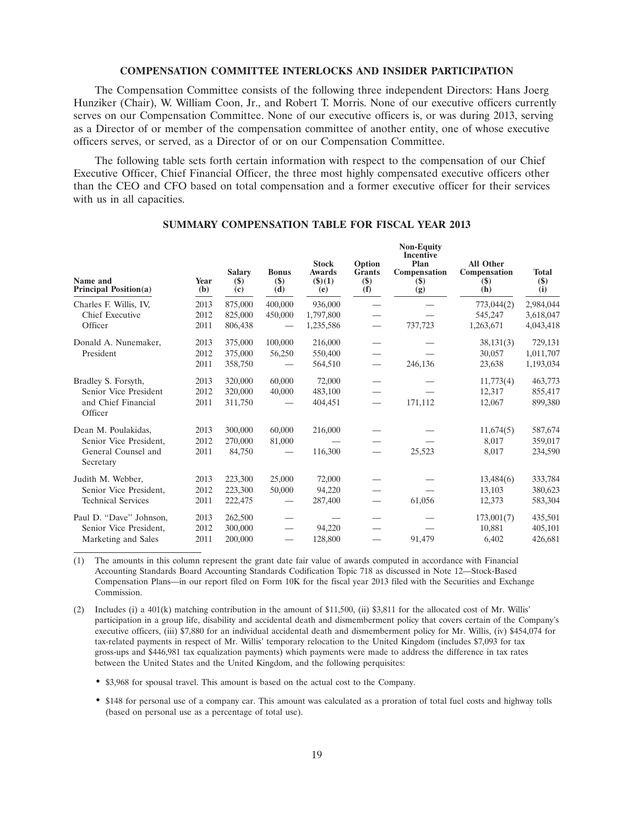#### **COMPENSATION COMMITTEE INTERLOCKS AND INSIDER PARTICIPATION**

The Compensation Committee consists of the following three independent Directors: Hans Joerg Hunziker (Chair), W. William Coon, Jr., and Robert T. Morris. None of our executive officers currently serves on our Compensation Committee. None of our executive officers is, or was during 2013, serving as a Director of or member of the compensation committee of another entity, one of whose executive officers serves, or served, as a Director of or on our Compensation Committee.

The following table sets forth certain information with respect to the compensation of our Chief Executive Officer, Chief Financial Officer, the three most highly compensated executive officers other than the CEO and CFO based on total compensation and a former executive officer for their services with us in all capacities.

| Name and<br><b>Principal Position(a)</b> | Year<br>$\left(\mathbf{b}\right)$ | <b>Salary</b><br>$(\$)$<br>(c) | <b>Bonus</b><br>$($)$<br>(d)  | <b>Stock</b><br><b>Awards</b><br>$($ \$ $)(1)$<br>(e) | Option<br><b>Grants</b><br>$($)$<br>(f) | <b>Non-Equity</b><br><b>Incentive</b><br>Plan<br>Compensation<br>$(\$)$<br>(g) | <b>All Other</b><br>Compensation<br>$(\$)$<br>(h) | <b>Total</b><br>\$)<br>(i) |
|------------------------------------------|-----------------------------------|--------------------------------|-------------------------------|-------------------------------------------------------|-----------------------------------------|--------------------------------------------------------------------------------|---------------------------------------------------|----------------------------|
| Charles F. Willis, IV.                   | 2013                              | 875,000                        | 400,000                       | 936,000                                               |                                         |                                                                                | 773,044(2)                                        | 2,984,044                  |
| Chief Executive                          | 2012                              | 825,000                        | 450,000                       | 1,797,800                                             |                                         |                                                                                | 545,247                                           | 3,618,047                  |
| Officer                                  | 2011                              | 806,438                        |                               | 1,235,586                                             | $\overline{\phantom{0}}$                | 737,723                                                                        | 1,263,671                                         | 4,043,418                  |
| Donald A. Nunemaker,                     | 2013                              | 375,000                        | 100,000                       | 216,000                                               |                                         |                                                                                | 38,131(3)                                         | 729,131                    |
| President                                | 2012                              | 375,000                        | 56,250                        | 550,400                                               |                                         |                                                                                | 30,057                                            | 1,011,707                  |
|                                          | 2011                              | 358,750                        |                               | 564,510                                               | —                                       | 246,136                                                                        | 23,638                                            | 1,193,034                  |
| Bradley S. Forsyth,                      | 2013                              | 320,000                        | 60,000                        | 72,000                                                |                                         |                                                                                | 11,773(4)                                         | 463,773                    |
| Senior Vice President                    | 2012                              | 320,000                        | 40,000                        | 483,100                                               |                                         |                                                                                | 12,317                                            | 855,417                    |
| and Chief Financial<br>Officer           | 2011                              | 311,750                        |                               | 404,451                                               | $\overline{\phantom{0}}$                | 171,112                                                                        | 12,067                                            | 899,380                    |
| Dean M. Poulakidas,                      | 2013                              | 300,000                        | 60,000                        | 216,000                                               |                                         |                                                                                | 11,674(5)                                         | 587,674                    |
| Senior Vice President,                   | 2012                              | 270,000                        | 81,000                        |                                                       |                                         |                                                                                | 8,017                                             | 359,017                    |
| General Counsel and<br>Secretary         | 2011                              | 84,750                         |                               | 116,300                                               |                                         | 25,523                                                                         | 8,017                                             | 234,590                    |
| Judith M. Webber,                        | 2013                              | 223,300                        | 25,000                        | 72,000                                                |                                         |                                                                                | 13,484(6)                                         | 333,784                    |
| Senior Vice President,                   | 2012                              | 223,300                        | 50,000                        | 94,220                                                |                                         |                                                                                | 13,103                                            | 380,623                    |
| <b>Technical Services</b>                | 2011                              | 222,475                        |                               | 287,400                                               |                                         | 61,056                                                                         | 12,373                                            | 583,304                    |
| Paul D. "Dave" Johnson,                  | 2013                              | 262,500                        |                               |                                                       |                                         |                                                                                | 173,001(7)                                        | 435,501                    |
| Senior Vice President.                   | 2012                              | 300,000                        | $\overbrace{\phantom{12332}}$ | 94,220                                                |                                         |                                                                                | 10,881                                            | 405,101                    |
| Marketing and Sales                      | 2011                              | 200,000                        |                               | 128,800                                               |                                         | 91,479                                                                         | 6,402                                             | 426,681                    |

## **SUMMARY COMPENSATION TABLE FOR FISCAL YEAR 2013**

(1) The amounts in this column represent the grant date fair value of awards computed in accordance with Financial Accounting Standards Board Accounting Standards Codification Topic 718 as discussed in Note 12—Stock-Based Compensation Plans—in our report filed on Form 10K for the fiscal year 2013 filed with the Securities and Exchange Commission.

(2) Includes (i) a 401(k) matching contribution in the amount of \$11,500, (ii) \$3,811 for the allocated cost of Mr. Willis' participation in a group life, disability and accidental death and dismemberment policy that covers certain of the Company's executive officers, (iii) \$7,880 for an individual accidental death and dismemberment policy for Mr. Willis, (iv) \$454,074 for tax-related payments in respect of Mr. Willis' temporary relocation to the United Kingdom (includes \$7,093 for tax gross-ups and \$446,981 tax equalization payments) which payments were made to address the difference in tax rates between the United States and the United Kingdom, and the following perquisites:

• \$3,968 for spousal travel. This amount is based on the actual cost to the Company.

• \$148 for personal use of a company car. This amount was calculated as a proration of total fuel costs and highway tolls (based on personal use as a percentage of total use).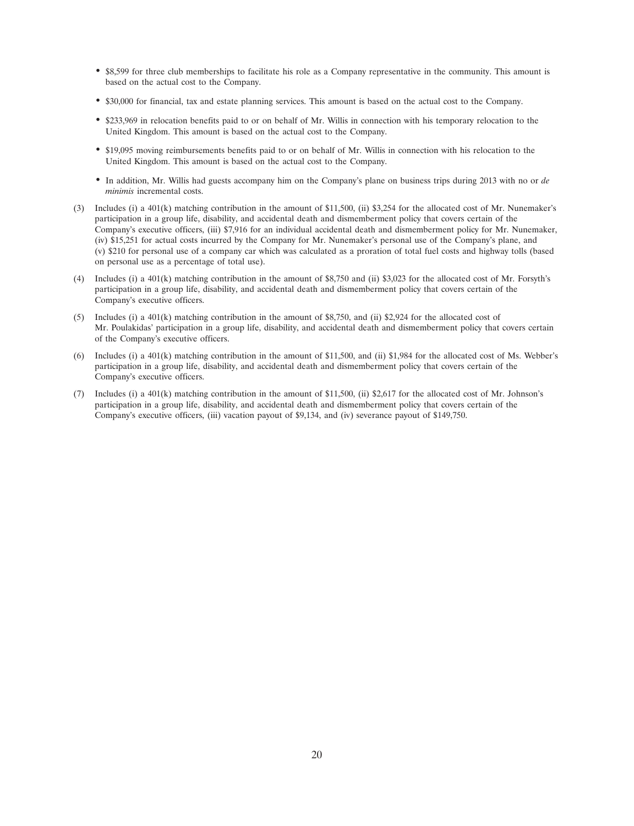- \$8,599 for three club memberships to facilitate his role as a Company representative in the community. This amount is based on the actual cost to the Company.
- \$30,000 for financial, tax and estate planning services. This amount is based on the actual cost to the Company.
- \$233,969 in relocation benefits paid to or on behalf of Mr. Willis in connection with his temporary relocation to the United Kingdom. This amount is based on the actual cost to the Company.
- \$19,095 moving reimbursements benefits paid to or on behalf of Mr. Willis in connection with his relocation to the United Kingdom. This amount is based on the actual cost to the Company.
- In addition, Mr. Willis had guests accompany him on the Company's plane on business trips during 2013 with no or *de minimis* incremental costs.
- (3) Includes (i) a 401(k) matching contribution in the amount of \$11,500, (ii) \$3,254 for the allocated cost of Mr. Nunemaker's participation in a group life, disability, and accidental death and dismemberment policy that covers certain of the Company's executive officers, (iii) \$7,916 for an individual accidental death and dismemberment policy for Mr. Nunemaker, (iv) \$15,251 for actual costs incurred by the Company for Mr. Nunemaker's personal use of the Company's plane, and (v) \$210 for personal use of a company car which was calculated as a proration of total fuel costs and highway tolls (based on personal use as a percentage of total use).
- (4) Includes (i) a 401(k) matching contribution in the amount of \$8,750 and (ii) \$3,023 for the allocated cost of Mr. Forsyth's participation in a group life, disability, and accidental death and dismemberment policy that covers certain of the Company's executive officers.
- (5) Includes (i) a 401(k) matching contribution in the amount of \$8,750, and (ii) \$2,924 for the allocated cost of Mr. Poulakidas' participation in a group life, disability, and accidental death and dismemberment policy that covers certain of the Company's executive officers.
- (6) Includes (i) a 401(k) matching contribution in the amount of \$11,500, and (ii) \$1,984 for the allocated cost of Ms. Webber's participation in a group life, disability, and accidental death and dismemberment policy that covers certain of the Company's executive officers.
- (7) Includes (i) a 401(k) matching contribution in the amount of \$11,500, (ii) \$2,617 for the allocated cost of Mr. Johnson's participation in a group life, disability, and accidental death and dismemberment policy that covers certain of the Company's executive officers, (iii) vacation payout of \$9,134, and (iv) severance payout of \$149,750.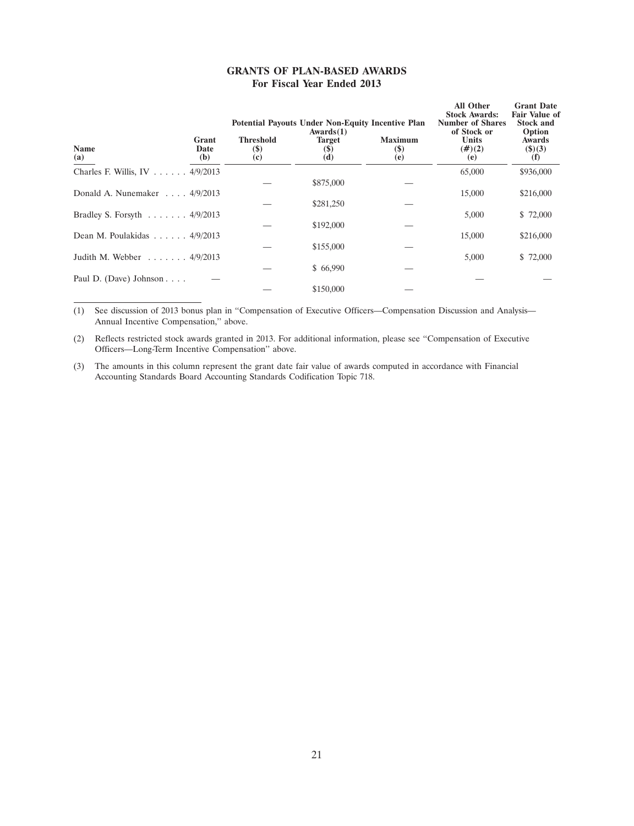|  |                            | <b>GRANTS OF PLAN-BASED AWARDS</b> |
|--|----------------------------|------------------------------------|
|  | For Fiscal Year Ended 2013 |                                    |

|                                                    |                                   | <b>Potential Payouts Under Non-Equity Incentive Plan</b><br>Awards(1) | <b>All Other</b><br><b>Stock Awards:</b><br><b>Number of Shares</b><br>of Stock or | <b>Grant Date</b><br><b>Fair Value of</b><br><b>Stock and</b><br>Option |                                       |
|----------------------------------------------------|-----------------------------------|-----------------------------------------------------------------------|------------------------------------------------------------------------------------|-------------------------------------------------------------------------|---------------------------------------|
| Grant<br><b>Name</b><br>Date<br>(a)<br>(b)         | <b>Threshold</b><br>$(\$)$<br>(c) | <b>Target</b><br>(5)<br>(d)                                           | <b>Maximum</b><br><b>(\$)</b><br>(e)                                               | Units<br>$(\#)(2)$<br>(e)                                               | <b>Awards</b><br>$($ \$ $)(3)$<br>(f) |
| Charles F. Willis, IV 4/9/2013                     |                                   |                                                                       |                                                                                    | 65,000                                                                  | \$936,000                             |
|                                                    |                                   | \$875,000                                                             |                                                                                    |                                                                         |                                       |
| Donald A. Nunemaker $\ldots$ 4/9/2013              |                                   |                                                                       |                                                                                    | 15,000                                                                  | \$216,000                             |
|                                                    |                                   | \$281,250                                                             |                                                                                    |                                                                         |                                       |
| Bradley S. Forsyth $\ldots \ldots \ldots$ 4/9/2013 |                                   |                                                                       |                                                                                    | 5,000                                                                   | \$72,000                              |
|                                                    |                                   | \$192,000                                                             |                                                                                    |                                                                         |                                       |
| Dean M. Poulakidas 4/9/2013                        |                                   |                                                                       |                                                                                    | 15,000                                                                  | \$216,000                             |
|                                                    |                                   | \$155,000                                                             |                                                                                    |                                                                         |                                       |
| Judith M. Webber $\ldots \ldots$ 4/9/2013          |                                   |                                                                       |                                                                                    | 5,000                                                                   | \$72,000                              |
|                                                    |                                   | \$66,990                                                              |                                                                                    |                                                                         |                                       |
| Paul D. (Dave) Johnson                             |                                   |                                                                       |                                                                                    |                                                                         |                                       |
|                                                    |                                   | \$150,000                                                             |                                                                                    |                                                                         |                                       |

(1) See discussion of 2013 bonus plan in ''Compensation of Executive Officers—Compensation Discussion and Analysis— Annual Incentive Compensation,'' above.

(2) Reflects restricted stock awards granted in 2013. For additional information, please see ''Compensation of Executive Officers—Long-Term Incentive Compensation'' above.

(3) The amounts in this column represent the grant date fair value of awards computed in accordance with Financial Accounting Standards Board Accounting Standards Codification Topic 718.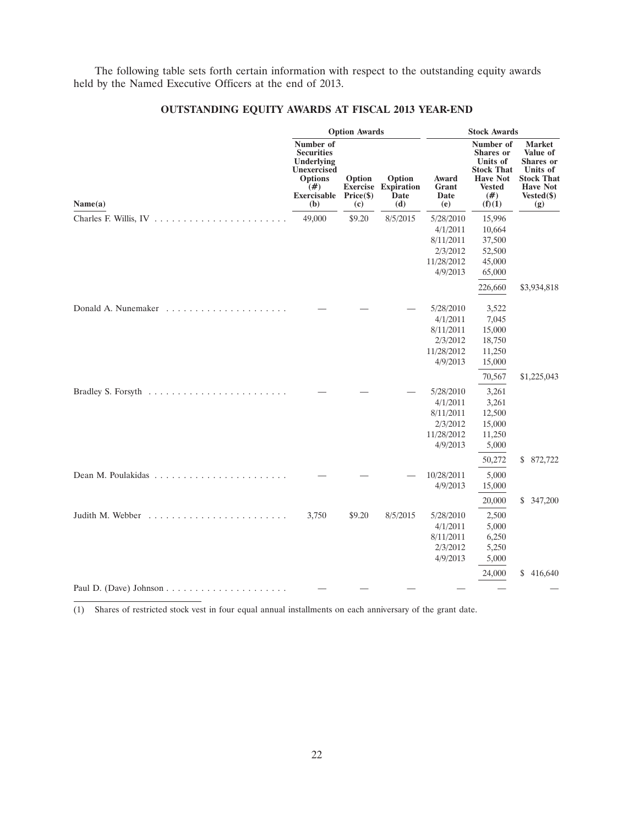The following table sets forth certain information with respect to the outstanding equity awards held by the Named Executive Officers at the end of 2013.

|                                                                       |                                                                                                                             | <b>Option Awards</b>        |                                                     |                                                                          | <b>Stock Awards</b>                                                                                                 |                                                                                                                          |
|-----------------------------------------------------------------------|-----------------------------------------------------------------------------------------------------------------------------|-----------------------------|-----------------------------------------------------|--------------------------------------------------------------------------|---------------------------------------------------------------------------------------------------------------------|--------------------------------------------------------------------------------------------------------------------------|
| Name(a)                                                               | Number of<br><b>Securities</b><br>Underlying<br><b>Unexercised</b><br><b>Options</b><br>$(\#)$<br><b>Exercisable</b><br>(b) | Option<br>Price (\$)<br>(c) | Option<br><b>Exercise Expiration</b><br>Date<br>(d) | Award<br>Grant<br>Date<br>(e)                                            | Number of<br><b>Shares</b> or<br>Units of<br><b>Stock That</b><br><b>Have Not</b><br><b>Vested</b><br>(#)<br>(f)(1) | <b>Market</b><br>Value of<br><b>Shares</b> or<br>Units of<br><b>Stock That</b><br><b>Have Not</b><br>$Vested(\$)$<br>(g) |
|                                                                       | 49,000                                                                                                                      | \$9.20                      | 8/5/2015                                            | 5/28/2010<br>4/1/2011<br>8/11/2011<br>2/3/2012<br>11/28/2012<br>4/9/2013 | 15,996<br>10,664<br>37,500<br>52,500<br>45,000<br>65,000<br>226,660                                                 | \$3,934,818                                                                                                              |
|                                                                       |                                                                                                                             |                             |                                                     | 5/28/2010<br>4/1/2011<br>8/11/2011<br>2/3/2012<br>11/28/2012<br>4/9/2013 | 3,522<br>7,045<br>15,000<br>18,750<br>11,250<br>15,000                                                              |                                                                                                                          |
| Bradley S. Forsyth $\ldots \ldots \ldots \ldots \ldots \ldots \ldots$ |                                                                                                                             |                             |                                                     | 5/28/2010<br>4/1/2011<br>8/11/2011<br>2/3/2012<br>11/28/2012<br>4/9/2013 | 70,567<br>3,261<br>3,261<br>12,500<br>15,000<br>11,250<br>5,000<br>50,272                                           | \$1,225,043<br>\$ 872,722                                                                                                |
|                                                                       |                                                                                                                             |                             |                                                     | 10/28/2011<br>4/9/2013                                                   | 5,000<br>15,000<br>20,000                                                                                           | \$347,200                                                                                                                |
| Judith M. Webber                                                      | 3,750                                                                                                                       | \$9.20                      | 8/5/2015                                            | 5/28/2010<br>4/1/2011<br>8/11/2011<br>2/3/2012<br>4/9/2013               | 2,500<br>5,000<br>6,250<br>5,250<br>5,000                                                                           |                                                                                                                          |
|                                                                       |                                                                                                                             |                             |                                                     |                                                                          | 24,000                                                                                                              | \$<br>416,640                                                                                                            |

## **OUTSTANDING EQUITY AWARDS AT FISCAL 2013 YEAR-END**

(1) Shares of restricted stock vest in four equal annual installments on each anniversary of the grant date.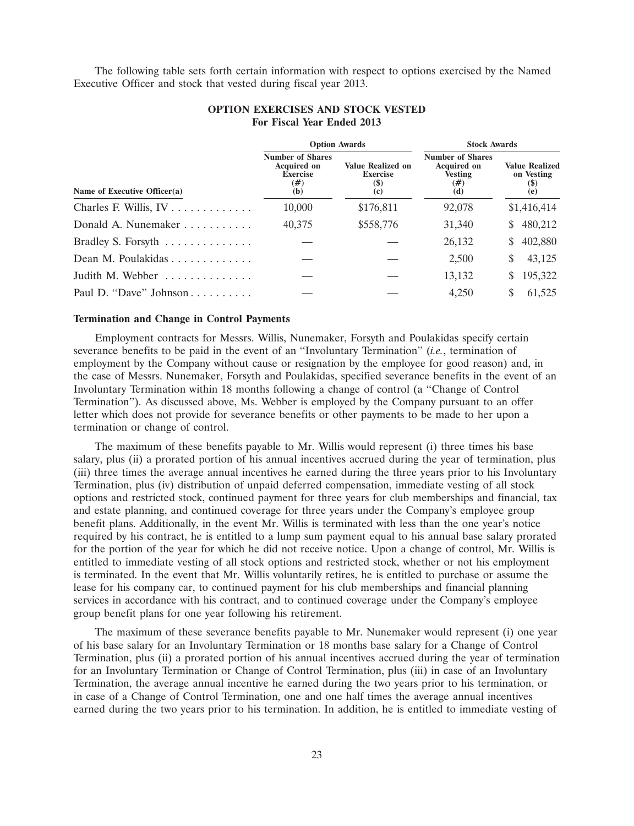The following table sets forth certain information with respect to options exercised by the Named Executive Officer and stock that vested during fiscal year 2013.

|                                                     |                                                                                | <b>Option Awards</b>                                      | <b>Stock Awards</b>                                                           |                                                   |  |
|-----------------------------------------------------|--------------------------------------------------------------------------------|-----------------------------------------------------------|-------------------------------------------------------------------------------|---------------------------------------------------|--|
| Name of Executive Officer(a)                        | <b>Number of Shares</b><br><b>Acquired on</b><br><b>Exercise</b><br>(#)<br>(b) | <b>Value Realized on</b><br><b>Exercise</b><br>(S)<br>(c) | <b>Number of Shares</b><br><b>Acquired on</b><br><b>Vesting</b><br>(#)<br>(d) | <b>Value Realized</b><br>on Vesting<br>(5)<br>(e) |  |
| Charles F. Willis, $IV \ldots \ldots \ldots \ldots$ | 10,000                                                                         | \$176,811                                                 | 92,078                                                                        | \$1,416,414                                       |  |
| Donald A. Nunemaker                                 | 40,375                                                                         | \$558,776                                                 | 31,340                                                                        | 480,212<br>S.                                     |  |
| Bradley S. Forsyth                                  |                                                                                |                                                           | 26,132                                                                        | 402,880<br>S.                                     |  |
| Dean M. Poulakidas                                  |                                                                                |                                                           | 2,500                                                                         | 43,125<br>S                                       |  |
| Judith M. Webber                                    |                                                                                |                                                           | 13,132                                                                        | 195,322<br>S.                                     |  |
| Paul D. "Dave" Johnson                              |                                                                                |                                                           | 4,250                                                                         | 61,525                                            |  |

## **OPTION EXERCISES AND STOCK VESTED For Fiscal Year Ended 2013**

#### **Termination and Change in Control Payments**

Employment contracts for Messrs. Willis, Nunemaker, Forsyth and Poulakidas specify certain severance benefits to be paid in the event of an ''Involuntary Termination'' (*i.e.*, termination of employment by the Company without cause or resignation by the employee for good reason) and, in the case of Messrs. Nunemaker, Forsyth and Poulakidas, specified severance benefits in the event of an Involuntary Termination within 18 months following a change of control (a ''Change of Control Termination''). As discussed above, Ms. Webber is employed by the Company pursuant to an offer letter which does not provide for severance benefits or other payments to be made to her upon a termination or change of control.

The maximum of these benefits payable to Mr. Willis would represent (i) three times his base salary, plus (ii) a prorated portion of his annual incentives accrued during the year of termination, plus (iii) three times the average annual incentives he earned during the three years prior to his Involuntary Termination, plus (iv) distribution of unpaid deferred compensation, immediate vesting of all stock options and restricted stock, continued payment for three years for club memberships and financial, tax and estate planning, and continued coverage for three years under the Company's employee group benefit plans. Additionally, in the event Mr. Willis is terminated with less than the one year's notice required by his contract, he is entitled to a lump sum payment equal to his annual base salary prorated for the portion of the year for which he did not receive notice. Upon a change of control, Mr. Willis is entitled to immediate vesting of all stock options and restricted stock, whether or not his employment is terminated. In the event that Mr. Willis voluntarily retires, he is entitled to purchase or assume the lease for his company car, to continued payment for his club memberships and financial planning services in accordance with his contract, and to continued coverage under the Company's employee group benefit plans for one year following his retirement.

The maximum of these severance benefits payable to Mr. Nunemaker would represent (i) one year of his base salary for an Involuntary Termination or 18 months base salary for a Change of Control Termination, plus (ii) a prorated portion of his annual incentives accrued during the year of termination for an Involuntary Termination or Change of Control Termination, plus (iii) in case of an Involuntary Termination, the average annual incentive he earned during the two years prior to his termination, or in case of a Change of Control Termination, one and one half times the average annual incentives earned during the two years prior to his termination. In addition, he is entitled to immediate vesting of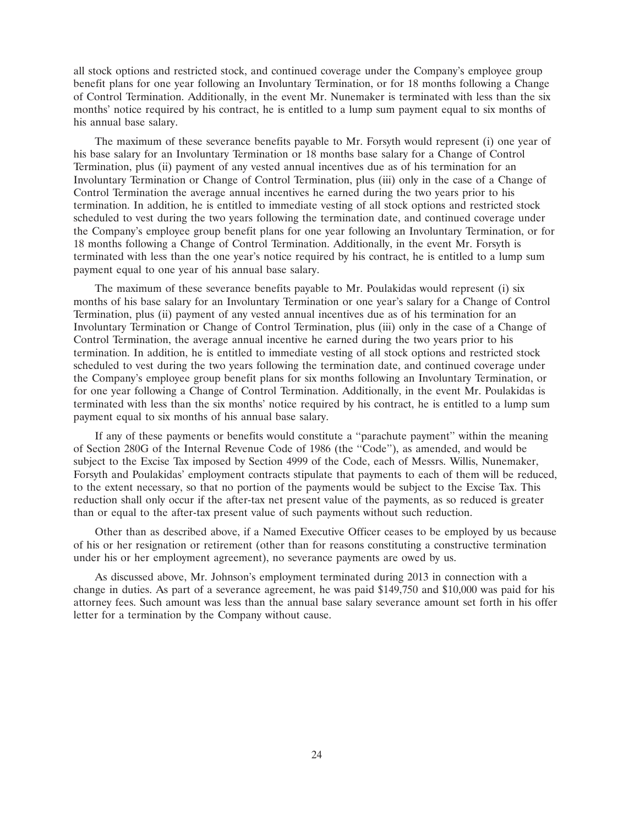all stock options and restricted stock, and continued coverage under the Company's employee group benefit plans for one year following an Involuntary Termination, or for 18 months following a Change of Control Termination. Additionally, in the event Mr. Nunemaker is terminated with less than the six months' notice required by his contract, he is entitled to a lump sum payment equal to six months of his annual base salary.

The maximum of these severance benefits payable to Mr. Forsyth would represent (i) one year of his base salary for an Involuntary Termination or 18 months base salary for a Change of Control Termination, plus (ii) payment of any vested annual incentives due as of his termination for an Involuntary Termination or Change of Control Termination, plus (iii) only in the case of a Change of Control Termination the average annual incentives he earned during the two years prior to his termination. In addition, he is entitled to immediate vesting of all stock options and restricted stock scheduled to vest during the two years following the termination date, and continued coverage under the Company's employee group benefit plans for one year following an Involuntary Termination, or for 18 months following a Change of Control Termination. Additionally, in the event Mr. Forsyth is terminated with less than the one year's notice required by his contract, he is entitled to a lump sum payment equal to one year of his annual base salary.

The maximum of these severance benefits payable to Mr. Poulakidas would represent (i) six months of his base salary for an Involuntary Termination or one year's salary for a Change of Control Termination, plus (ii) payment of any vested annual incentives due as of his termination for an Involuntary Termination or Change of Control Termination, plus (iii) only in the case of a Change of Control Termination, the average annual incentive he earned during the two years prior to his termination. In addition, he is entitled to immediate vesting of all stock options and restricted stock scheduled to vest during the two years following the termination date, and continued coverage under the Company's employee group benefit plans for six months following an Involuntary Termination, or for one year following a Change of Control Termination. Additionally, in the event Mr. Poulakidas is terminated with less than the six months' notice required by his contract, he is entitled to a lump sum payment equal to six months of his annual base salary.

If any of these payments or benefits would constitute a ''parachute payment'' within the meaning of Section 280G of the Internal Revenue Code of 1986 (the ''Code''), as amended, and would be subject to the Excise Tax imposed by Section 4999 of the Code, each of Messrs. Willis, Nunemaker, Forsyth and Poulakidas' employment contracts stipulate that payments to each of them will be reduced, to the extent necessary, so that no portion of the payments would be subject to the Excise Tax. This reduction shall only occur if the after-tax net present value of the payments, as so reduced is greater than or equal to the after-tax present value of such payments without such reduction.

Other than as described above, if a Named Executive Officer ceases to be employed by us because of his or her resignation or retirement (other than for reasons constituting a constructive termination under his or her employment agreement), no severance payments are owed by us.

As discussed above, Mr. Johnson's employment terminated during 2013 in connection with a change in duties. As part of a severance agreement, he was paid \$149,750 and \$10,000 was paid for his attorney fees. Such amount was less than the annual base salary severance amount set forth in his offer letter for a termination by the Company without cause.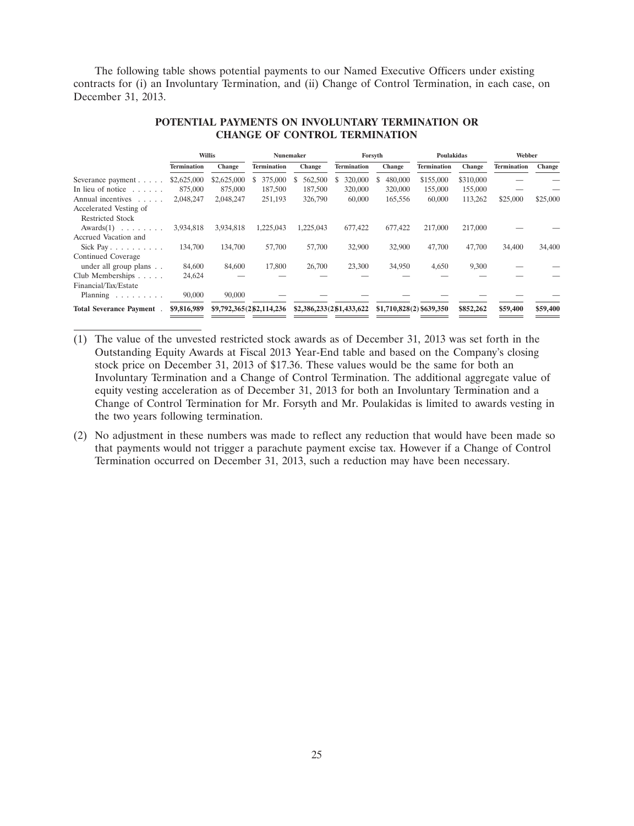The following table shows potential payments to our Named Executive Officers under existing contracts for (i) an Involuntary Termination, and (ii) Change of Control Termination, in each case, on December 31, 2013.

|                                |                    | Willis      | Nunemaker                 |           | Forsyth                   |                          | Poulakidas         |               | Webber             |          |
|--------------------------------|--------------------|-------------|---------------------------|-----------|---------------------------|--------------------------|--------------------|---------------|--------------------|----------|
|                                | <b>Termination</b> | Change      | <b>Termination</b>        | Change    | <b>Termination</b>        | Change                   | <b>Termination</b> | <b>Change</b> | <b>Termination</b> | Change   |
| Severance payment $\ldots$ .   | \$2,625,000        | \$2,625,000 | 375,000<br>S              | 562,500   | 320,000                   | 480,000                  | \$155,000          | \$310,000     |                    |          |
| In lieu of notice $\dots$ .    | 875,000            | 875,000     | 187,500                   | 187,500   | 320,000                   | 320,000                  | 155,000            | 155,000       |                    |          |
| Annual incentives              | 2,048,247          | 2,048,247   | 251,193                   | 326,790   | 60,000                    | 165,556                  | 60,000             | 113,262       | \$25,000           | \$25,000 |
| Accelerated Vesting of         |                    |             |                           |           |                           |                          |                    |               |                    |          |
| <b>Restricted Stock</b>        |                    |             |                           |           |                           |                          |                    |               |                    |          |
| $Awards(1) \dots \dots \dots$  | 3.934.818          | 3,934,818   | 1,225,043                 | 1,225,043 | 677,422                   | 677,422                  | 217,000            | 217,000       |                    |          |
| Accrued Vacation and           |                    |             |                           |           |                           |                          |                    |               |                    |          |
| Sick Pay                       | 134,700            | 134,700     | 57,700                    | 57,700    | 32,900                    | 32,900                   | 47,700             | 47,700        | 34,400             | 34,400   |
| Continued Coverage             |                    |             |                           |           |                           |                          |                    |               |                    |          |
| under all group plans          | 84,600             | 84,600      | 17,800                    | 26,700    | 23,300                    | 34,950                   | 4,650              | 9,300         |                    |          |
| Club Memberships $\ldots$ .    | 24,624             |             |                           |           |                           |                          |                    |               |                    |          |
| Financial/Tax/Estate           |                    |             |                           |           |                           |                          |                    |               |                    |          |
| Planning                       | 90,000             | 90,000      |                           |           |                           |                          |                    |               |                    |          |
| <b>Total Severance Payment</b> | \$9,816,989        |             | \$9,792,365(2)\$2,114,236 |           | \$2,386,233(2)\$1,433,622 | \$1,710,828(2) \$639,350 |                    | \$852,262     | \$59,400           | \$59,400 |

## **POTENTIAL PAYMENTS ON INVOLUNTARY TERMINATION OR CHANGE OF CONTROL TERMINATION**

- (1) The value of the unvested restricted stock awards as of December 31, 2013 was set forth in the Outstanding Equity Awards at Fiscal 2013 Year-End table and based on the Company's closing stock price on December 31, 2013 of \$17.36. These values would be the same for both an Involuntary Termination and a Change of Control Termination. The additional aggregate value of equity vesting acceleration as of December 31, 2013 for both an Involuntary Termination and a Change of Control Termination for Mr. Forsyth and Mr. Poulakidas is limited to awards vesting in the two years following termination.
- (2) No adjustment in these numbers was made to reflect any reduction that would have been made so that payments would not trigger a parachute payment excise tax. However if a Change of Control Termination occurred on December 31, 2013, such a reduction may have been necessary.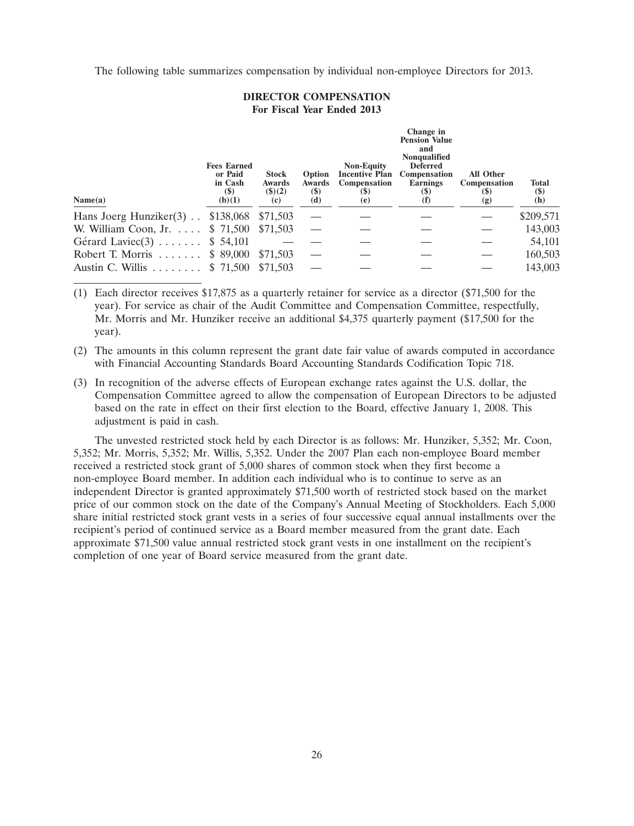The following table summarizes compensation by individual non-employee Directors for 2013.

## **DIRECTOR COMPENSATION For Fiscal Year Ended 2013**

| Name(a)                     | <b>Fees Earned</b><br>or Paid<br>in Cash<br>$(\$)$<br>(b)(1) | <b>Stock</b><br>Awards<br>$($ \$ $)(2)$<br>(c) | Option<br><b>Awards</b><br>$(\$)$<br>(d) | <b>Non-Equity</b><br><b>Incentive Plan</b><br>Compensation<br><b>(\$)</b><br>(e) | Change in<br><b>Pension Value</b><br>and<br><b>Nonqualified</b><br><b>Deferred</b><br>Compensation<br>Earnings<br><b>(\$)</b><br>(f) | <b>All Other</b><br>Compensation<br>(\$)<br>(g) | <b>Total</b><br>$(\$)$<br>(h) |
|-----------------------------|--------------------------------------------------------------|------------------------------------------------|------------------------------------------|----------------------------------------------------------------------------------|--------------------------------------------------------------------------------------------------------------------------------------|-------------------------------------------------|-------------------------------|
| Hans Joerg Hunziker $(3)$ . | \$138,068                                                    | \$71,503                                       |                                          |                                                                                  |                                                                                                                                      |                                                 | \$209,571                     |
| W. William Coon, Jr.        | \$ 71,500                                                    | \$71,503                                       |                                          |                                                                                  |                                                                                                                                      |                                                 | 143,003                       |
| Gérard Laviec $(3)$         | \$ 54,101                                                    |                                                |                                          |                                                                                  |                                                                                                                                      |                                                 | 54,101                        |
| Robert T. Morris $$89,000$  |                                                              | \$71,503                                       |                                          |                                                                                  |                                                                                                                                      |                                                 | 160,503                       |
| Austin C. Willis            | \$ 71,500                                                    | \$71,503                                       |                                          |                                                                                  |                                                                                                                                      |                                                 | 143,003                       |

(1) Each director receives \$17,875 as a quarterly retainer for service as a director (\$71,500 for the year). For service as chair of the Audit Committee and Compensation Committee, respectfully, Mr. Morris and Mr. Hunziker receive an additional \$4,375 quarterly payment (\$17,500 for the year).

- (2) The amounts in this column represent the grant date fair value of awards computed in accordance with Financial Accounting Standards Board Accounting Standards Codification Topic 718.
- (3) In recognition of the adverse effects of European exchange rates against the U.S. dollar, the Compensation Committee agreed to allow the compensation of European Directors to be adjusted based on the rate in effect on their first election to the Board, effective January 1, 2008. This adjustment is paid in cash.

The unvested restricted stock held by each Director is as follows: Mr. Hunziker, 5,352; Mr. Coon, 5,352; Mr. Morris, 5,352; Mr. Willis, 5,352. Under the 2007 Plan each non-employee Board member received a restricted stock grant of 5,000 shares of common stock when they first become a non-employee Board member. In addition each individual who is to continue to serve as an independent Director is granted approximately \$71,500 worth of restricted stock based on the market price of our common stock on the date of the Company's Annual Meeting of Stockholders. Each 5,000 share initial restricted stock grant vests in a series of four successive equal annual installments over the recipient's period of continued service as a Board member measured from the grant date. Each approximate \$71,500 value annual restricted stock grant vests in one installment on the recipient's completion of one year of Board service measured from the grant date.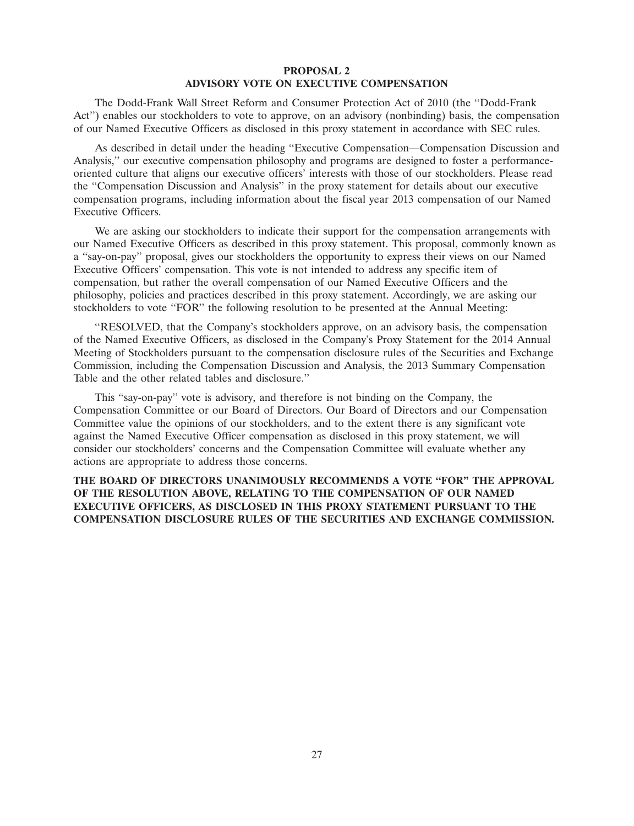## **PROPOSAL 2 ADVISORY VOTE ON EXECUTIVE COMPENSATION**

The Dodd-Frank Wall Street Reform and Consumer Protection Act of 2010 (the ''Dodd-Frank Act'') enables our stockholders to vote to approve, on an advisory (nonbinding) basis, the compensation of our Named Executive Officers as disclosed in this proxy statement in accordance with SEC rules.

As described in detail under the heading ''Executive Compensation—Compensation Discussion and Analysis,'' our executive compensation philosophy and programs are designed to foster a performanceoriented culture that aligns our executive officers' interests with those of our stockholders. Please read the ''Compensation Discussion and Analysis'' in the proxy statement for details about our executive compensation programs, including information about the fiscal year 2013 compensation of our Named Executive Officers.

We are asking our stockholders to indicate their support for the compensation arrangements with our Named Executive Officers as described in this proxy statement. This proposal, commonly known as a ''say-on-pay'' proposal, gives our stockholders the opportunity to express their views on our Named Executive Officers' compensation. This vote is not intended to address any specific item of compensation, but rather the overall compensation of our Named Executive Officers and the philosophy, policies and practices described in this proxy statement. Accordingly, we are asking our stockholders to vote "FOR" the following resolution to be presented at the Annual Meeting:

''RESOLVED, that the Company's stockholders approve, on an advisory basis, the compensation of the Named Executive Officers, as disclosed in the Company's Proxy Statement for the 2014 Annual Meeting of Stockholders pursuant to the compensation disclosure rules of the Securities and Exchange Commission, including the Compensation Discussion and Analysis, the 2013 Summary Compensation Table and the other related tables and disclosure.''

This ''say-on-pay'' vote is advisory, and therefore is not binding on the Company, the Compensation Committee or our Board of Directors. Our Board of Directors and our Compensation Committee value the opinions of our stockholders, and to the extent there is any significant vote against the Named Executive Officer compensation as disclosed in this proxy statement, we will consider our stockholders' concerns and the Compensation Committee will evaluate whether any actions are appropriate to address those concerns.

**THE BOARD OF DIRECTORS UNANIMOUSLY RECOMMENDS A VOTE ''FOR'' THE APPROVAL OF THE RESOLUTION ABOVE, RELATING TO THE COMPENSATION OF OUR NAMED EXECUTIVE OFFICERS, AS DISCLOSED IN THIS PROXY STATEMENT PURSUANT TO THE COMPENSATION DISCLOSURE RULES OF THE SECURITIES AND EXCHANGE COMMISSION.**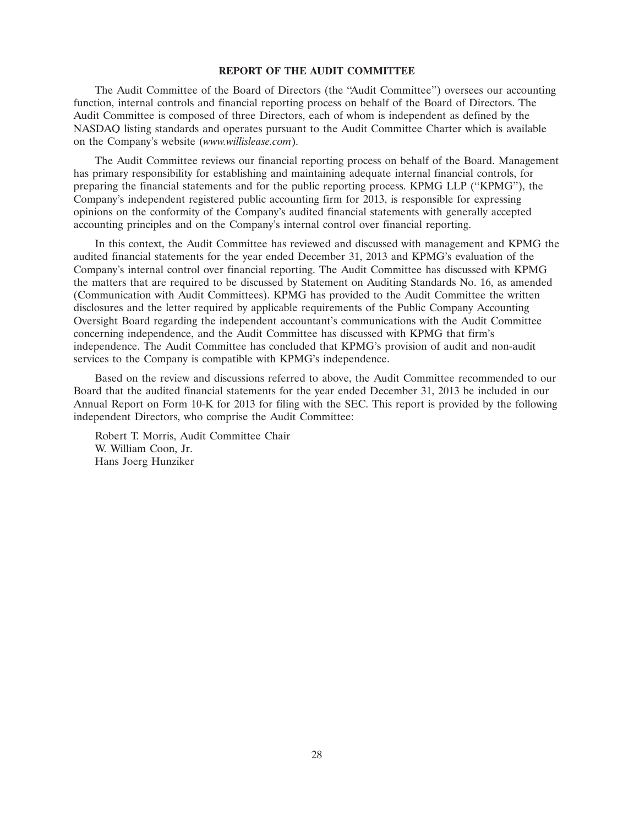## **REPORT OF THE AUDIT COMMITTEE**

The Audit Committee of the Board of Directors (the ''Audit Committee'') oversees our accounting function, internal controls and financial reporting process on behalf of the Board of Directors. The Audit Committee is composed of three Directors, each of whom is independent as defined by the NASDAQ listing standards and operates pursuant to the Audit Committee Charter which is available on the Company's website (*www.willislease.com*).

The Audit Committee reviews our financial reporting process on behalf of the Board. Management has primary responsibility for establishing and maintaining adequate internal financial controls, for preparing the financial statements and for the public reporting process. KPMG LLP (''KPMG''), the Company's independent registered public accounting firm for 2013, is responsible for expressing opinions on the conformity of the Company's audited financial statements with generally accepted accounting principles and on the Company's internal control over financial reporting.

In this context, the Audit Committee has reviewed and discussed with management and KPMG the audited financial statements for the year ended December 31, 2013 and KPMG's evaluation of the Company's internal control over financial reporting. The Audit Committee has discussed with KPMG the matters that are required to be discussed by Statement on Auditing Standards No. 16, as amended (Communication with Audit Committees). KPMG has provided to the Audit Committee the written disclosures and the letter required by applicable requirements of the Public Company Accounting Oversight Board regarding the independent accountant's communications with the Audit Committee concerning independence, and the Audit Committee has discussed with KPMG that firm's independence. The Audit Committee has concluded that KPMG's provision of audit and non-audit services to the Company is compatible with KPMG's independence.

Based on the review and discussions referred to above, the Audit Committee recommended to our Board that the audited financial statements for the year ended December 31, 2013 be included in our Annual Report on Form 10-K for 2013 for filing with the SEC. This report is provided by the following independent Directors, who comprise the Audit Committee:

Robert T. Morris, Audit Committee Chair W. William Coon, Jr. Hans Joerg Hunziker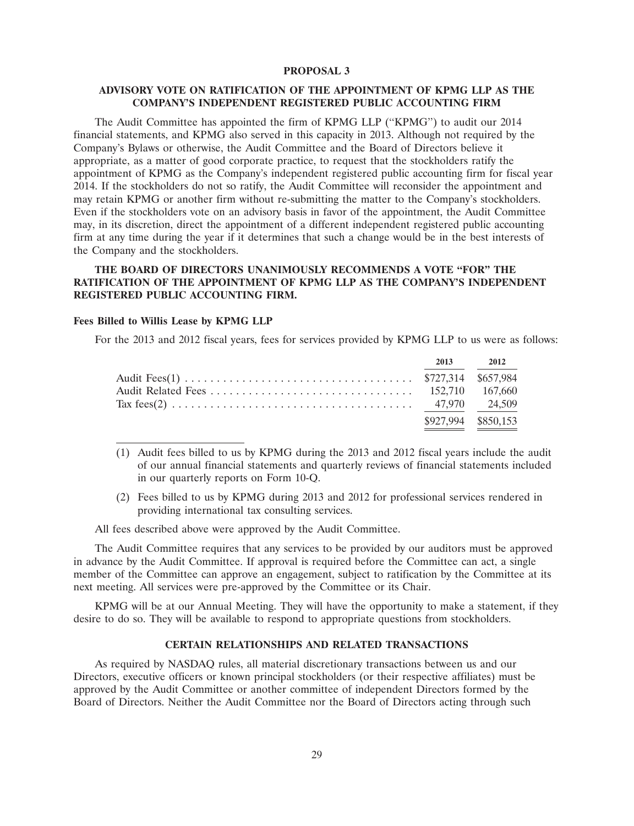### **PROPOSAL 3**

## **ADVISORY VOTE ON RATIFICATION OF THE APPOINTMENT OF KPMG LLP AS THE COMPANY'S INDEPENDENT REGISTERED PUBLIC ACCOUNTING FIRM**

The Audit Committee has appointed the firm of KPMG LLP (''KPMG'') to audit our 2014 financial statements, and KPMG also served in this capacity in 2013. Although not required by the Company's Bylaws or otherwise, the Audit Committee and the Board of Directors believe it appropriate, as a matter of good corporate practice, to request that the stockholders ratify the appointment of KPMG as the Company's independent registered public accounting firm for fiscal year 2014. If the stockholders do not so ratify, the Audit Committee will reconsider the appointment and may retain KPMG or another firm without re-submitting the matter to the Company's stockholders. Even if the stockholders vote on an advisory basis in favor of the appointment, the Audit Committee may, in its discretion, direct the appointment of a different independent registered public accounting firm at any time during the year if it determines that such a change would be in the best interests of the Company and the stockholders.

## **THE BOARD OF DIRECTORS UNANIMOUSLY RECOMMENDS A VOTE ''FOR'' THE RATIFICATION OF THE APPOINTMENT OF KPMG LLP AS THE COMPANY'S INDEPENDENT REGISTERED PUBLIC ACCOUNTING FIRM.**

## **Fees Billed to Willis Lease by KPMG LLP**

For the 2013 and 2012 fiscal years, fees for services provided by KPMG LLP to us were as follows:

|  | 2013 2012           |
|--|---------------------|
|  |                     |
|  |                     |
|  |                     |
|  | \$927,994 \$850,153 |

- (1) Audit fees billed to us by KPMG during the 2013 and 2012 fiscal years include the audit of our annual financial statements and quarterly reviews of financial statements included in our quarterly reports on Form 10-Q.
- (2) Fees billed to us by KPMG during 2013 and 2012 for professional services rendered in providing international tax consulting services.

All fees described above were approved by the Audit Committee.

The Audit Committee requires that any services to be provided by our auditors must be approved in advance by the Audit Committee. If approval is required before the Committee can act, a single member of the Committee can approve an engagement, subject to ratification by the Committee at its next meeting. All services were pre-approved by the Committee or its Chair.

KPMG will be at our Annual Meeting. They will have the opportunity to make a statement, if they desire to do so. They will be available to respond to appropriate questions from stockholders.

## **CERTAIN RELATIONSHIPS AND RELATED TRANSACTIONS**

As required by NASDAQ rules, all material discretionary transactions between us and our Directors, executive officers or known principal stockholders (or their respective affiliates) must be approved by the Audit Committee or another committee of independent Directors formed by the Board of Directors. Neither the Audit Committee nor the Board of Directors acting through such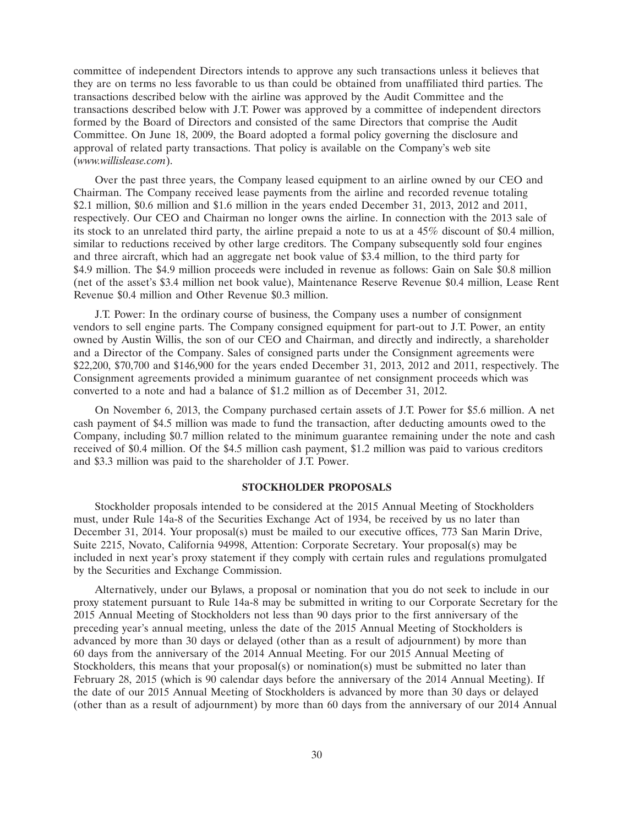committee of independent Directors intends to approve any such transactions unless it believes that they are on terms no less favorable to us than could be obtained from unaffiliated third parties. The transactions described below with the airline was approved by the Audit Committee and the transactions described below with J.T. Power was approved by a committee of independent directors formed by the Board of Directors and consisted of the same Directors that comprise the Audit Committee. On June 18, 2009, the Board adopted a formal policy governing the disclosure and approval of related party transactions. That policy is available on the Company's web site (*www.willislease.com*).

Over the past three years, the Company leased equipment to an airline owned by our CEO and Chairman. The Company received lease payments from the airline and recorded revenue totaling \$2.1 million, \$0.6 million and \$1.6 million in the years ended December 31, 2013, 2012 and 2011, respectively. Our CEO and Chairman no longer owns the airline. In connection with the 2013 sale of its stock to an unrelated third party, the airline prepaid a note to us at a 45% discount of \$0.4 million, similar to reductions received by other large creditors. The Company subsequently sold four engines and three aircraft, which had an aggregate net book value of \$3.4 million, to the third party for \$4.9 million. The \$4.9 million proceeds were included in revenue as follows: Gain on Sale \$0.8 million (net of the asset's \$3.4 million net book value), Maintenance Reserve Revenue \$0.4 million, Lease Rent Revenue \$0.4 million and Other Revenue \$0.3 million.

J.T. Power: In the ordinary course of business, the Company uses a number of consignment vendors to sell engine parts. The Company consigned equipment for part-out to J.T. Power, an entity owned by Austin Willis, the son of our CEO and Chairman, and directly and indirectly, a shareholder and a Director of the Company. Sales of consigned parts under the Consignment agreements were \$22,200, \$70,700 and \$146,900 for the years ended December 31, 2013, 2012 and 2011, respectively. The Consignment agreements provided a minimum guarantee of net consignment proceeds which was converted to a note and had a balance of \$1.2 million as of December 31, 2012.

On November 6, 2013, the Company purchased certain assets of J.T. Power for \$5.6 million. A net cash payment of \$4.5 million was made to fund the transaction, after deducting amounts owed to the Company, including \$0.7 million related to the minimum guarantee remaining under the note and cash received of \$0.4 million. Of the \$4.5 million cash payment, \$1.2 million was paid to various creditors and \$3.3 million was paid to the shareholder of J.T. Power.

#### **STOCKHOLDER PROPOSALS**

Stockholder proposals intended to be considered at the 2015 Annual Meeting of Stockholders must, under Rule 14a-8 of the Securities Exchange Act of 1934, be received by us no later than December 31, 2014. Your proposal(s) must be mailed to our executive offices, 773 San Marin Drive, Suite 2215, Novato, California 94998, Attention: Corporate Secretary. Your proposal(s) may be included in next year's proxy statement if they comply with certain rules and regulations promulgated by the Securities and Exchange Commission.

Alternatively, under our Bylaws, a proposal or nomination that you do not seek to include in our proxy statement pursuant to Rule 14a-8 may be submitted in writing to our Corporate Secretary for the 2015 Annual Meeting of Stockholders not less than 90 days prior to the first anniversary of the preceding year's annual meeting, unless the date of the 2015 Annual Meeting of Stockholders is advanced by more than 30 days or delayed (other than as a result of adjournment) by more than 60 days from the anniversary of the 2014 Annual Meeting. For our 2015 Annual Meeting of Stockholders, this means that your proposal(s) or nomination(s) must be submitted no later than February 28, 2015 (which is 90 calendar days before the anniversary of the 2014 Annual Meeting). If the date of our 2015 Annual Meeting of Stockholders is advanced by more than 30 days or delayed (other than as a result of adjournment) by more than 60 days from the anniversary of our 2014 Annual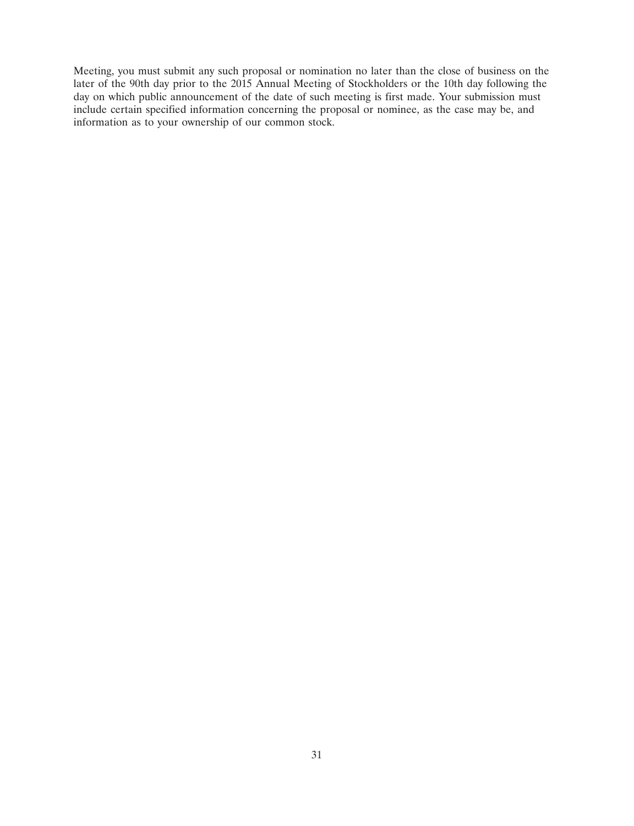Meeting, you must submit any such proposal or nomination no later than the close of business on the later of the 90th day prior to the 2015 Annual Meeting of Stockholders or the 10th day following the day on which public announcement of the date of such meeting is first made. Your submission must include certain specified information concerning the proposal or nominee, as the case may be, and information as to your ownership of our common stock.